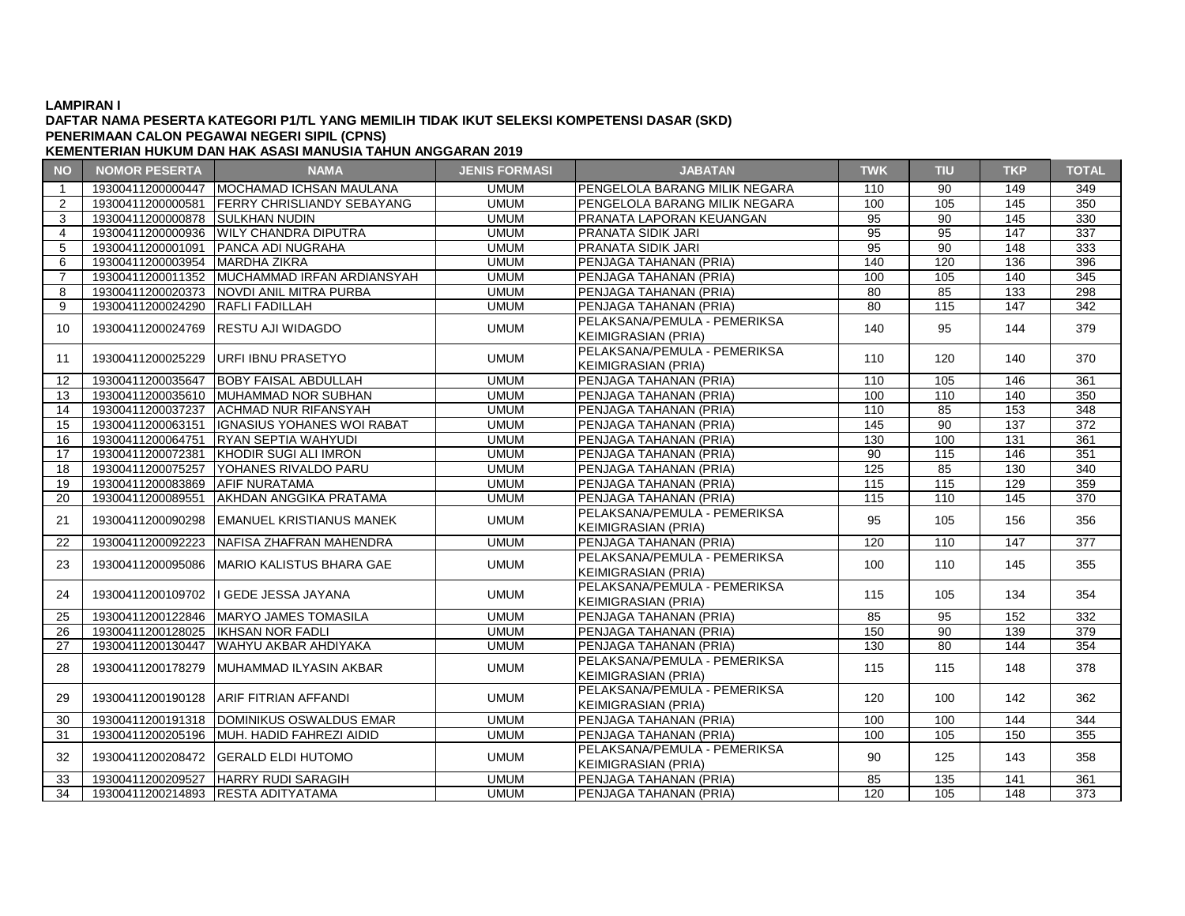#### **DAFTAR NAMA PESERTA KATEGORI P1/TL YANG MEMILIH TIDAK IKUT SELEKSI KOMPETENSI DASAR (SKD) PENERIMAAN CALON PEGAWAI NEGERI SIPIL (CPNS)**

| <b>NO</b>      | <b>NOMOR PESERTA</b>             | <b>NAMA</b>                                  | <b>JENIS FORMASI</b> | <b>JABATAN</b>                | <b>TWK</b>      | <b>TIU</b>      | <b>TKP</b>       | <b>TOTAL</b> |
|----------------|----------------------------------|----------------------------------------------|----------------------|-------------------------------|-----------------|-----------------|------------------|--------------|
| $\mathbf{1}$   | 19300411200000447                | MOCHAMAD ICHSAN MAULANA                      | <b>UMUM</b>          | PENGELOLA BARANG MILIK NEGARA | 110             | 90              | 149              | 349          |
| 2              | 19300411200000581                | <b>FERRY CHRISLIANDY SEBAYANG</b>            | <b>UMUM</b>          | PENGELOLA BARANG MILIK NEGARA | 100             | 105             | 145              | 350          |
| 3              | 19300411200000878 SULKHAN NUDIN  |                                              | <b>UMUM</b>          | PRANATA LAPORAN KEUANGAN      | 95              | 90              | 145              | 330          |
| $\overline{4}$ |                                  | 19300411200000936 WILY CHANDRA DIPUTRA       | <b>UMUM</b>          | PRANATA SIDIK JARI            | $\overline{95}$ | 95              | $\overline{147}$ | 337          |
| 5              | 19300411200001091                | <b>PANCA ADI NUGRAHA</b>                     | <b>UMUM</b>          | PRANATA SIDIK JARI            | 95              | $\overline{90}$ | 148              | 333          |
| 6              | 19300411200003954                | <b>MARDHA ZIKRA</b>                          | <b>UMUM</b>          | PENJAGA TAHANAN (PRIA)        | 140             | 120             | 136              | 396          |
| $\overline{7}$ |                                  | 19300411200011352 MUCHAMMAD IRFAN ARDIANSYAH | <b>UMUM</b>          | PENJAGA TAHANAN (PRIA)        | 100             | 105             | 140              | 345          |
| 8              |                                  | 19300411200020373 NOVDI ANIL MITRA PURBA     | <b>UMUM</b>          | PENJAGA TAHANAN (PRIA)        | $\overline{80}$ | 85              | 133              | 298          |
| 9              | 19300411200024290 RAFLI FADILLAH |                                              | <b>UMUM</b>          | PENJAGA TAHANAN (PRIA)        | 80              | 115             | 147              | 342          |
|                |                                  |                                              |                      | PELAKSANA/PEMULA - PEMERIKSA  |                 |                 |                  |              |
| 10             |                                  | 19300411200024769 RESTU AJI WIDAGDO          | <b>UMUM</b>          | <b>KEIMIGRASIAN (PRIA)</b>    | 140             | 95              | 144              | 379          |
|                |                                  |                                              |                      | PELAKSANA/PEMULA - PEMERIKSA  |                 |                 |                  |              |
| 11             |                                  | 19300411200025229 URFI IBNU PRASETYO         | <b>UMUM</b>          | <b>KEIMIGRASIAN (PRIA)</b>    | 110             | 120             | 140              | 370          |
| 12             | 19300411200035647                | <b>BOBY FAISAL ABDULLAH</b>                  | <b>UMUM</b>          | PENJAGA TAHANAN (PRIA)        | 110             | 105             | 146              | 361          |
| 13             |                                  | 19300411200035610 MUHAMMAD NOR SUBHAN        | <b>UMUM</b>          | PENJAGA TAHANAN (PRIA)        | 100             | 110             | 140              | 350          |
| 14             | 19300411200037237                | <b>ACHMAD NUR RIFANSYAH</b>                  | <b>UMUM</b>          | PENJAGA TAHANAN (PRIA)        | 110             | 85              | 153              | 348          |
| 15             | 19300411200063151                | <b>IGNASIUS YOHANES WOI RABAT</b>            | <b>UMUM</b>          | PENJAGA TAHANAN (PRIA)        | 145             | $\overline{90}$ | 137              | 372          |
| 16             | 19300411200064751                | <b>RYAN SEPTIA WAHYUDI</b>                   | <b>UMUM</b>          | PENJAGA TAHANAN (PRIA)        | 130             | 100             | $\overline{131}$ | 361          |
| 17             | 19300411200072381                | KHODIR SUGI ALI IMRON                        | <b>UMUM</b>          | PENJAGA TAHANAN (PRIA)        | 90              | 115             | 146              | 351          |
| 18             | 19300411200075257                | YOHANES RIVALDO PARU                         | <b>UMUM</b>          | PENJAGA TAHANAN (PRIA)        | 125             | 85              | 130              | 340          |
| 19             | 19300411200083869                | <b>AFIF NURATAMA</b>                         | <b>UMUM</b>          | PENJAGA TAHANAN (PRIA)        | 115             | 115             | 129              | 359          |
| 20             | 19300411200089551                | <b>AKHDAN ANGGIKA PRATAMA</b>                | <b>UMUM</b>          | PENJAGA TAHANAN (PRIA)        | 115             | 110             | 145              | 370          |
|                | 19300411200090298                | <b>EMANUEL KRISTIANUS MANEK</b>              | <b>UMUM</b>          | PELAKSANA/PEMULA - PEMERIKSA  | 95              | 105             | 156              | 356          |
| 21             |                                  |                                              |                      | <b>KEIMIGRASIAN (PRIA)</b>    |                 |                 |                  |              |
| 22             | 19300411200092223                | NAFISA ZHAFRAN MAHENDRA                      | <b>UMUM</b>          | PENJAGA TAHANAN (PRIA)        | 120             | 110             | 147              | 377          |
| 23             |                                  | 19300411200095086   MARIO KALISTUS BHARA GAE | <b>UMUM</b>          | PELAKSANA/PEMULA - PEMERIKSA  | 100             | 110             | 145              | 355          |
|                |                                  |                                              |                      | <b>KEIMIGRASIAN (PRIA)</b>    |                 |                 |                  |              |
| 24             |                                  | 19300411200109702   GEDE JESSA JAYANA        | <b>UMUM</b>          | PELAKSANA/PEMULA - PEMERIKSA  | 115             | 105             | 134              | 354          |
|                |                                  |                                              |                      | <b>KEIMIGRASIAN (PRIA)</b>    |                 |                 |                  |              |
| 25             |                                  | 19300411200122846   MARYO JAMES TOMASILA     | <b>UMUM</b>          | PENJAGA TAHANAN (PRIA)        | 85              | 95              | 152              | 332          |
| 26             | 19300411200128025                | <b>IKHSAN NOR FADLI</b>                      | <b>UMUM</b>          | PENJAGA TAHANAN (PRIA)        | 150             | $\overline{90}$ | 139              | 379          |
| 27             | 19300411200130447                | WAHYU AKBAR AHDIYAKA                         | <b>UMUM</b>          | PENJAGA TAHANAN (PRIA)        | 130             | 80              | 144              | 354          |
| 28             |                                  | 19300411200178279 IMUHAMMAD ILYASIN AKBAR    | <b>UMUM</b>          | PELAKSANA/PEMULA - PEMERIKSA  | 115             | 115             | 148              | 378          |
|                |                                  |                                              |                      | <b>KEIMIGRASIAN (PRIA)</b>    |                 |                 |                  |              |
| 29             |                                  | 19300411200190128 ARIF FITRIAN AFFANDI       | <b>UMUM</b>          | PELAKSANA/PEMULA - PEMERIKSA  | 120             | 100             | 142              | 362          |
|                |                                  |                                              |                      | <b>KEIMIGRASIAN (PRIA)</b>    |                 |                 |                  |              |
| 30             |                                  | 19300411200191318   DOMINIKUS OSWALDUS EMAR  | <b>UMUM</b>          | PENJAGA TAHANAN (PRIA)        | 100             | 100             | 144              | 344          |
| 31             |                                  | 19300411200205196  MUH. HADID FAHREZI AIDID  | <b>UMUM</b>          | PENJAGA TAHANAN (PRIA)        | 100             | 105             | 150              | 355          |
| 32             |                                  | 19300411200208472 GERALD ELDI HUTOMO         | <b>UMUM</b>          | PELAKSANA/PEMULA - PEMERIKSA  | 90              | 125             | 143              | 358          |
|                |                                  |                                              |                      | <b>KEIMIGRASIAN (PRIA)</b>    |                 |                 |                  |              |
| 33             | 19300411200209527                | HARRY RUDI SARAGIH                           | <b>UMUM</b>          | PENJAGA TAHANAN (PRIA)        | 85              | 135             | 141              | 361          |
| 34             |                                  | 19300411200214893 RESTA ADITYATAMA           | <b>UMUM</b>          | PENJAGA TAHANAN (PRIA)        | 120             | 105             | 148              | 373          |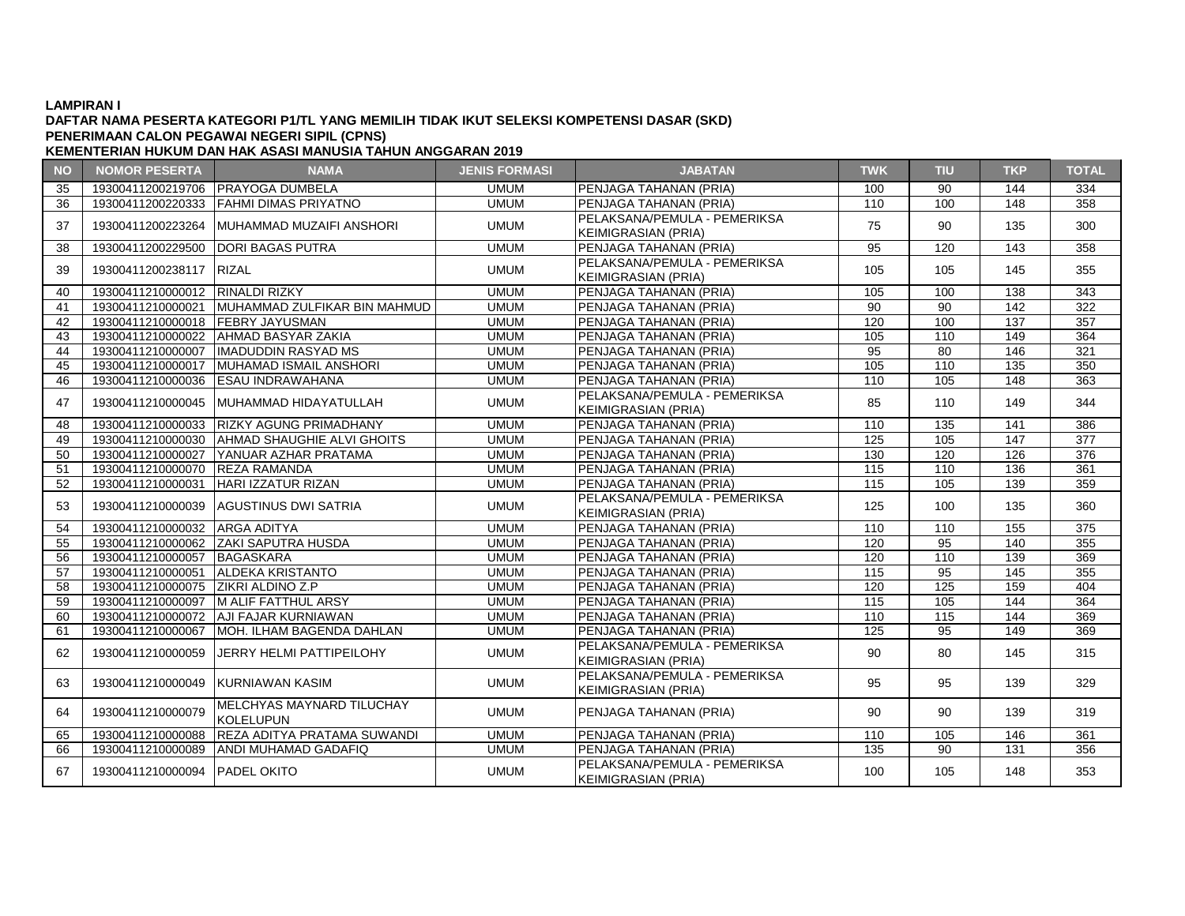### **DAFTAR NAMA PESERTA KATEGORI P1/TL YANG MEMILIH TIDAK IKUT SELEKSI KOMPETENSI DASAR (SKD) PENERIMAAN CALON PEGAWAI NEGERI SIPIL (CPNS)**

| <b>NO</b> | <b>NOMOR PESERTA</b>               | <b>NAMA</b>                                          | <b>JENIS FORMASI</b> | <b>JABATAN</b>                                             | <b>TWK</b>      | <b>TIU</b> | <b>TKP</b> | <b>TOTAL</b> |
|-----------|------------------------------------|------------------------------------------------------|----------------------|------------------------------------------------------------|-----------------|------------|------------|--------------|
| 35        |                                    | 19300411200219706 PRAYOGA DUMBELA                    | <b>UMUM</b>          | <b>IPENJAGA TAHANAN (PRIA)</b>                             | 100             | 90         | 144        | 334          |
| 36        |                                    | 19300411200220333 FAHMI DIMAS PRIYATNO               | <b>UMUM</b>          | PENJAGA TAHANAN (PRIA)                                     | 110             | 100        | 148        | 358          |
| 37        |                                    | 19300411200223264 MUHAMMAD MUZAIFI ANSHORI           | <b>UMUM</b>          | PELAKSANA/PEMULA - PEMERIKSA<br><b>KEIMIGRASIAN (PRIA)</b> | 75              | 90         | 135        | 300          |
| 38        | 19300411200229500                  | <b>DORI BAGAS PUTRA</b>                              | <b>UMUM</b>          | PENJAGA TAHANAN (PRIA)                                     | 95              | 120        | 143        | 358          |
| 39        | 19300411200238117 RIZAL            |                                                      | <b>UMUM</b>          | PELAKSANA/PEMULA - PEMERIKSA<br><b>KEIMIGRASIAN (PRIA)</b> | 105             | 105        | 145        | 355          |
| 40        | 19300411210000012 RINALDI RIZKY    |                                                      | <b>UMUM</b>          | PENJAGA TAHANAN (PRIA)                                     | 105             | 100        | 138        | 343          |
| 41        |                                    | 19300411210000021 MUHAMMAD ZULFIKAR BIN MAHMUD       | <b>UMUM</b>          | PENJAGA TAHANAN (PRIA)                                     | 90              | 90         | 142        | 322          |
| 42        | 19300411210000018 FEBRY JAYUSMAN   |                                                      | <b>UMUM</b>          | PENJAGA TAHANAN (PRIA)                                     | 120             | 100        | 137        | 357          |
| 43        |                                    | 19300411210000022 AHMAD BASYAR ZAKIA                 | <b>UMUM</b>          | PENJAGA TAHANAN (PRIA)                                     | 105             | 110        | 149        | 364          |
| 44        |                                    | 19300411210000007 IIMADUDDIN RASYAD MS               | <b>UMUM</b>          | PENJAGA TAHANAN (PRIA)                                     | $\overline{95}$ | 80         | 146        | 321          |
| 45        |                                    | 19300411210000017 MUHAMAD ISMAIL ANSHORI             | <b>UMUM</b>          | PENJAGA TAHANAN (PRIA)                                     | 105             | 110        | 135        | 350          |
| 46        |                                    | 19300411210000036 ESAU INDRAWAHANA                   | <b>UMUM</b>          | PENJAGA TAHANAN (PRIA)                                     | 110             | 105        | 148        | 363          |
| 47        |                                    | 19300411210000045  MUHAMMAD HIDAYATULLAH             | <b>UMUM</b>          | PELAKSANA/PEMULA - PEMERIKSA<br><b>KEIMIGRASIAN (PRIA)</b> | 85              | 110        | 149        | 344          |
| 48        |                                    | 19300411210000033 RIZKY AGUNG PRIMADHANY             | <b>UMUM</b>          | PENJAGA TAHANAN (PRIA)                                     | 110             | 135        | 141        | 386          |
| 49        |                                    | 19300411210000030 AHMAD SHAUGHIE ALVI GHOITS         | <b>UMUM</b>          | PENJAGA TAHANAN (PRIA)                                     | 125             | 105        | 147        | 377          |
| 50        |                                    | 19300411210000027 YANUAR AZHAR PRATAMA               | <b>UMUM</b>          | PENJAGA TAHANAN (PRIA)                                     | 130             | 120        | 126        | 376          |
| 51        | 19300411210000070 REZA RAMANDA     |                                                      | <b>UMUM</b>          | PENJAGA TAHANAN (PRIA)                                     | 115             | 110        | 136        | 361          |
| 52        |                                    | 19300411210000031 HARI IZZATUR RIZAN                 | <b>UMUM</b>          | PENJAGA TAHANAN (PRIA)                                     | 115             | 105        | 139        | 359          |
| 53        |                                    | 19300411210000039 AGUSTINUS DWI SATRIA               | <b>UMUM</b>          | PELAKSANA/PEMULA - PEMERIKSA<br><b>KEIMIGRASIAN (PRIA)</b> | 125             | 100        | 135        | 360          |
| 54        | 19300411210000032 ARGA ADITYA      |                                                      | <b>UMUM</b>          | PENJAGA TAHANAN (PRIA)                                     | 110             | 110        | 155        | 375          |
| 55        |                                    | 19300411210000062 ZAKI SAPUTRA HUSDA                 | <b>UMUM</b>          | PENJAGA TAHANAN (PRIA)                                     | 120             | 95         | 140        | 355          |
| 56        | 19300411210000057 BAGASKARA        |                                                      | <b>UMUM</b>          | PENJAGA TAHANAN (PRIA)                                     | 120             | 110        | 139        | 369          |
| 57        |                                    | 19300411210000051 ALDEKA KRISTANTO                   | <b>UMUM</b>          | PENJAGA TAHANAN (PRIA)                                     | $\frac{115}{2}$ | 95         | 145        | 355          |
| 58        | 19300411210000075 ZIKRI ALDINO Z.P |                                                      | <b>UMUM</b>          | PENJAGA TAHANAN (PRIA)                                     | 120             | 125        | 159        | 404          |
| 59        |                                    | 19300411210000097 M ALIF FATTHUL ARSY                | <b>UMUM</b>          | PENJAGA TAHANAN (PRIA)                                     | 115             | 105        | 144        | 364          |
| 60        |                                    | 19300411210000072 AJI FAJAR KURNIAWAN                | <b>UMUM</b>          | PENJAGA TAHANAN (PRIA)                                     | 110             | 115        | 144        | 369          |
| 61        |                                    | 19300411210000067   MOH. ILHAM BAGENDA DAHLAN        | <b>UMUM</b>          | PENJAGA TAHANAN (PRIA)                                     | 125             | 95         | 149        | 369          |
| 62        |                                    | 19300411210000059 JJERRY HELMI PATTIPEILOHY          | <b>UMUM</b>          | PELAKSANA/PEMULA - PEMERIKSA<br><b>KEIMIGRASIAN (PRIA)</b> | 90              | 80         | 145        | 315          |
| 63        | 19300411210000049 KURNIAWAN KASIM  |                                                      | <b>UMUM</b>          | PELAKSANA/PEMULA - PEMERIKSA<br><b>KEIMIGRASIAN (PRIA)</b> | 95              | 95         | 139        | 329          |
| 64        | 19300411210000079                  | <b>MELCHYAS MAYNARD TILUCHAY</b><br><b>KOLELUPUN</b> | <b>UMUM</b>          | PENJAGA TAHANAN (PRIA)                                     | 90              | 90         | 139        | 319          |
| 65        | 19300411210000088                  | REZA ADITYA PRATAMA SUWANDI                          | <b>UMUM</b>          | PENJAGA TAHANAN (PRIA)                                     | 110             | 105        | 146        | 361          |
| 66        |                                    | 19300411210000089 ANDI MUHAMAD GADAFIQ               | <b>UMUM</b>          | PENJAGA TAHANAN (PRIA)                                     | 135             | 90         | 131        | 356          |
| 67        | 19300411210000094   PADEL OKITO    |                                                      | <b>UMUM</b>          | PELAKSANA/PEMULA - PEMERIKSA<br><b>KEIMIGRASIAN (PRIA)</b> | 100             | 105        | 148        | 353          |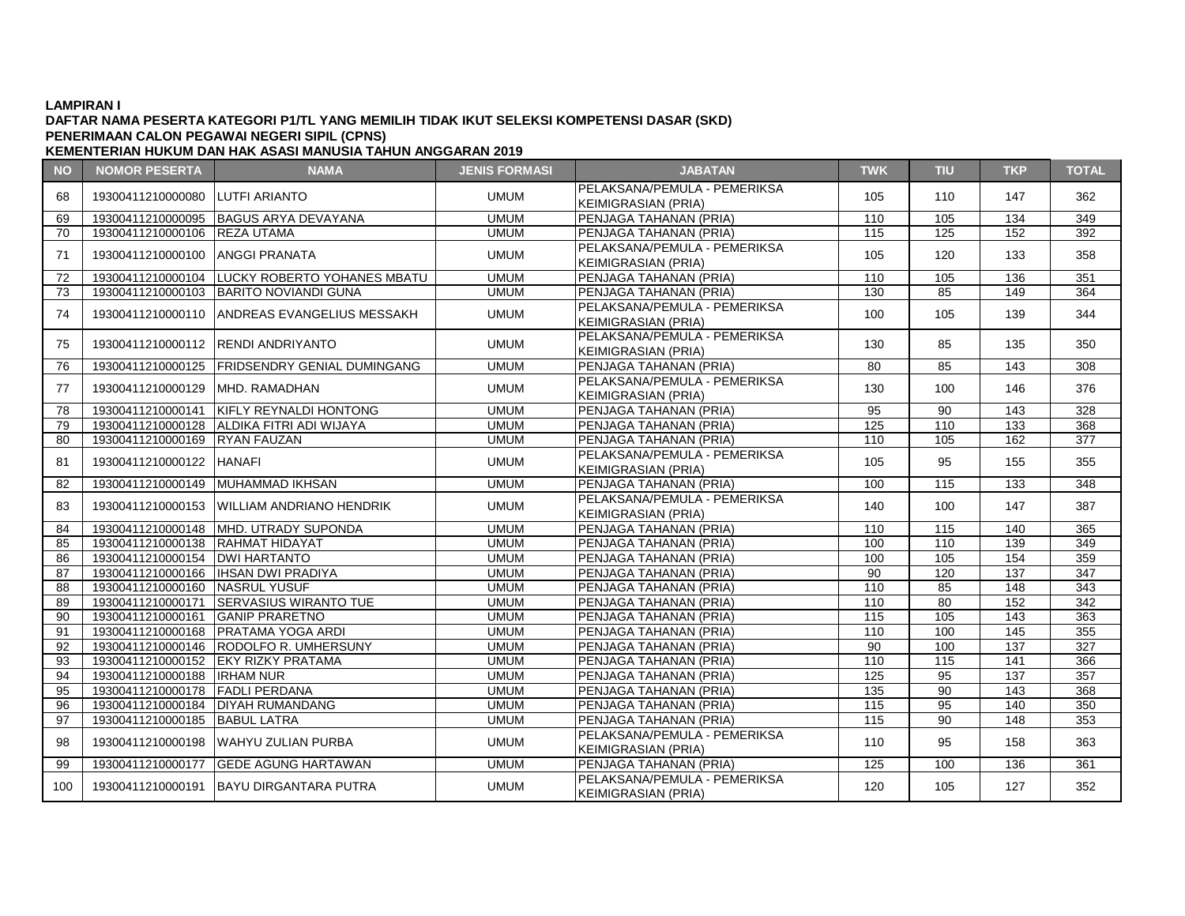## **DAFTAR NAMA PESERTA KATEGORI P1/TL YANG MEMILIH TIDAK IKUT SELEKSI KOMPETENSI DASAR (SKD) PENERIMAAN CALON PEGAWAI NEGERI SIPIL (CPNS)**

| <b>NO</b> | <b>NOMOR PESERTA</b>               | <b>NAMA</b>                                     | <b>JENIS FORMASI</b> | <b>JABATAN</b>                                             | <b>TWK</b>      | <b>TIU</b>      | <b>TKP</b>        | <b>TOTAL</b>     |
|-----------|------------------------------------|-------------------------------------------------|----------------------|------------------------------------------------------------|-----------------|-----------------|-------------------|------------------|
| 68        | 19300411210000080 LUTFI ARIANTO    |                                                 | <b>UMUM</b>          | PELAKSANA/PEMULA - PEMERIKSA<br><b>KEIMIGRASIAN (PRIA)</b> | 105             | 110             | 147               | 362              |
| 69        |                                    | 19300411210000095 BAGUS ARYA DEVAYANA           | <b>UMUM</b>          | PENJAGA TAHANAN (PRIA)                                     | 110             | 105             | 134               | 349              |
| 70        | 19300411210000106 REZA UTAMA       |                                                 | <b>UMUM</b>          | PENJAGA TAHANAN (PRIA)                                     | 115             | 125             | 152               | 392              |
| 71        | 19300411210000100 ANGGI PRANATA    |                                                 | <b>UMUM</b>          | PELAKSANA/PEMULA - PEMERIKSA<br><b>KEIMIGRASIAN (PRIA)</b> | 105             | 120             | 133               | 358              |
| 72        |                                    | 19300411210000104  LUCKY ROBERTO YOHANES MBATU  | <b>UMUM</b>          | PENJAGA TAHANAN (PRIA)                                     | 110             | 105             | 136               | 351              |
| 73        |                                    | 19300411210000103 BARITO NOVIANDI GUNA          | <b>UMUM</b>          | PENJAGA TAHANAN (PRIA)                                     | 130             | 85              | 149               | 364              |
| 74        |                                    | 19300411210000110 ANDREAS EVANGELIUS MESSAKH    | <b>UMUM</b>          | PELAKSANA/PEMULA - PEMERIKSA<br><b>KEIMIGRASIAN (PRIA)</b> | 100             | 105             | 139               | 344              |
| 75        |                                    | 19300411210000112 RENDI ANDRIYANTO              | <b>UMUM</b>          | PELAKSANA/PEMULA - PEMERIKSA<br><b>KEIMIGRASIAN (PRIA)</b> | 130             | 85              | 135               | 350              |
| 76        |                                    | 19300411210000125   FRIDSENDRY GENIAL DUMINGANG | <b>UMUM</b>          | PENJAGA TAHANAN (PRIA)                                     | 80              | 85              | 143               | 308              |
| 77        | 19300411210000129 MHD, RAMADHAN    |                                                 | <b>UMUM</b>          | PELAKSANA/PEMULA - PEMERIKSA<br><b>KEIMIGRASIAN (PRIA)</b> | 130             | 100             | 146               | 376              |
| 78        |                                    | 19300411210000141   KIFLY REYNALDI HONTONG      | <b>UMUM</b>          | PENJAGA TAHANAN (PRIA)                                     | 95              | 90              | 143               | 328              |
| 79        |                                    | 19300411210000128 ALDIKA FITRI ADI WIJAYA       | <b>UMUM</b>          | PENJAGA TAHANAN (PRIA)                                     | 125             | 110             | 133               | 368              |
| 80        | 19300411210000169 RYAN FAUZAN      |                                                 | <b>UMUM</b>          | PENJAGA TAHANAN (PRIA)                                     | 110             | 105             | 162               | $\overline{377}$ |
| 81        | 19300411210000122 HANAFI           |                                                 | <b>UMUM</b>          | PELAKSANA/PEMULA - PEMERIKSA<br><b>KEIMIGRASIAN (PRIA)</b> | 105             | 95              | 155               | 355              |
| 82        |                                    | 19300411210000149 MUHAMMAD IKHSAN               | <b>UMUM</b>          | PENJAGA TAHANAN (PRIA)                                     | 100             | 115             | 133               | 348              |
| 83        |                                    | 19300411210000153 WILLIAM ANDRIANO HENDRIK      | <b>UMUM</b>          | PELAKSANA/PEMULA - PEMERIKSA<br><b>KEIMIGRASIAN (PRIA)</b> | 140             | 100             | 147               | 387              |
| 84        |                                    | 19300411210000148  MHD. UTRADY SUPONDA          | <b>UMUM</b>          | PENJAGA TAHANAN (PRIA)                                     | 110             | 115             | 140               | 365              |
| 85        | 19300411210000138 RAHMAT HIDAYAT   |                                                 | <b>UMUM</b>          | PENJAGA TAHANAN (PRIA)                                     | 100             | 110             | 139               | 349              |
| 86        | 19300411210000154   DWI HARTANTO   |                                                 | <b>UMUM</b>          | PENJAGA TAHANAN (PRIA)                                     | 100             | 105             | 154               | 359              |
| 87        |                                    | 19300411210000166   IHSAN DWI PRADIYA           | <b>UMUM</b>          | PENJAGA TAHANAN (PRIA)                                     | $\overline{90}$ | 120             | $\overline{137}$  | $\overline{347}$ |
| 88        | 19300411210000160 NASRUL YUSUF     |                                                 | <b>UMUM</b>          | PENJAGA TAHANAN (PRIA)                                     | 110             | 85              | 148               | 343              |
| 89        |                                    | 19300411210000171 SERVASIUS WIRANTO TUE         | <b>UMUM</b>          | PENJAGA TAHANAN (PRIA)                                     | 110             | 80              | 152               | 342              |
| 90        | 19300411210000161 GANIP PRARETNO   |                                                 | <b>UMUM</b>          | PENJAGA TAHANAN (PRIA)                                     | 115             | 105             | 143               | 363              |
| 91        |                                    | 19300411210000168   PRATAMA YOGA ARDI           | <b>UMUM</b>          | PENJAGA TAHANAN (PRIA)                                     | 110             | 100             | $\frac{145}{145}$ | 355              |
| 92        |                                    | 19300411210000146 RODOLFO R. UMHERSUNY          | <b>UMUM</b>          | PENJAGA TAHANAN (PRIA)                                     | 90              | 100             | 137               | 327              |
| 93        |                                    | 19300411210000152 EKY RIZKY PRATAMA             | <b>UMUM</b>          | PENJAGA TAHANAN (PRIA)                                     | 110             | 115             | 141               | 366              |
| 94        | 19300411210000188 <b>IRHAM NUR</b> |                                                 | <b>UMUM</b>          | PENJAGA TAHANAN (PRIA)                                     | 125             | $\overline{95}$ | 137               | 357              |
| 95        | 19300411210000178 FADLI PERDANA    |                                                 | <b>UMUM</b>          | PENJAGA TAHANAN (PRIA)                                     | 135             | $\overline{90}$ | $\overline{143}$  | 368              |
| 96        |                                    | 19300411210000184 DIYAH RUMANDANG               | <b>UMUM</b>          | PENJAGA TAHANAN (PRIA)                                     | 115             | 95              | 140               | 350              |
| 97        | 19300411210000185 BABUL LATRA      |                                                 | <b>UMUM</b>          | PENJAGA TAHANAN (PRIA)                                     | 115             | 90              | 148               | 353              |
| 98        |                                    | 19300411210000198 WAHYU ZULIAN PURBA            | <b>UMUM</b>          | PELAKSANA/PEMULA - PEMERIKSA<br>KEIMIGRASIAN (PRIA)        | 110             | 95              | 158               | 363              |
| 99        |                                    | 19300411210000177 GEDE AGUNG HARTAWAN           | <b>UMUM</b>          | PENJAGA TAHANAN (PRIA)                                     | 125             | 100             | 136               | 361              |
| 100       |                                    | 19300411210000191 BAYU DIRGANTARA PUTRA         | <b>UMUM</b>          | PELAKSANA/PEMULA - PEMERIKSA<br><b>KEIMIGRASIAN (PRIA)</b> | 120             | 105             | 127               | 352              |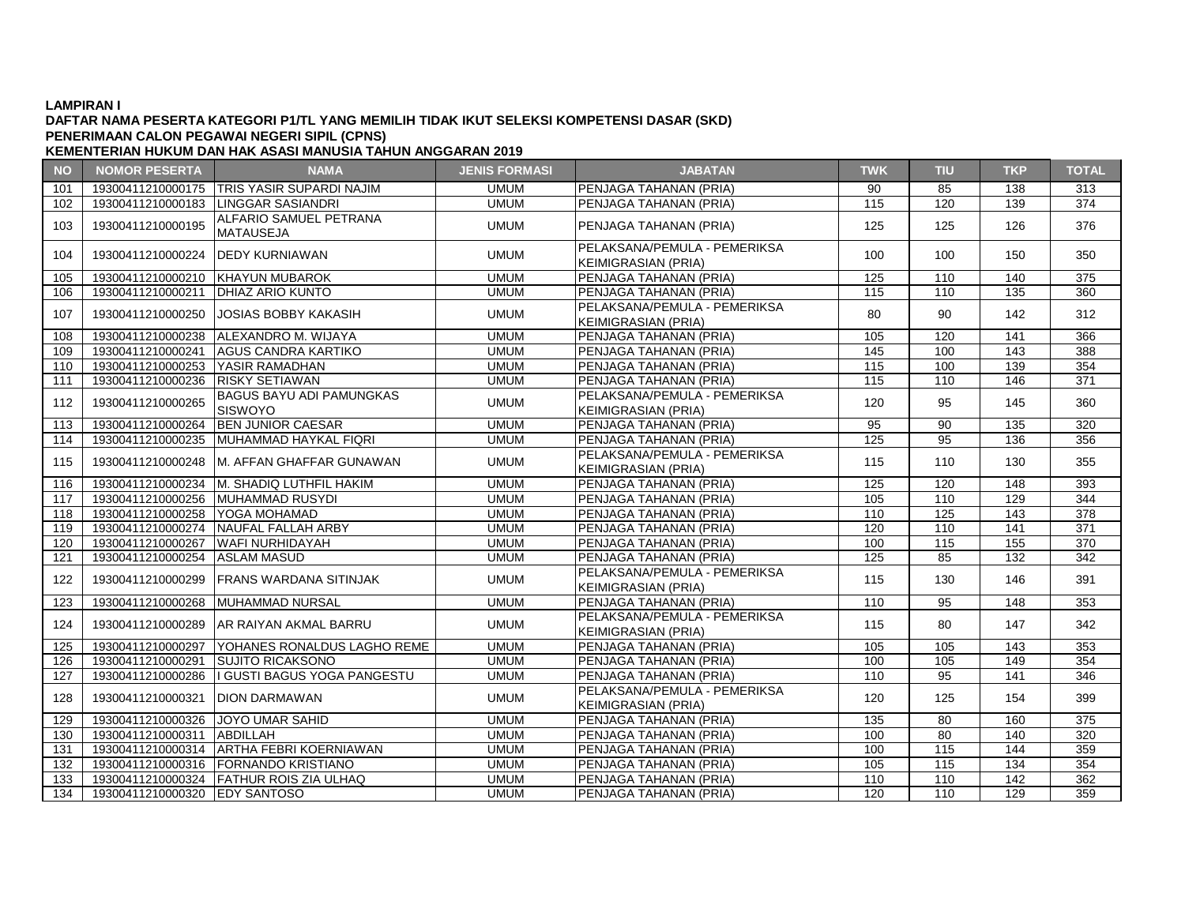#### **DAFTAR NAMA PESERTA KATEGORI P1/TL YANG MEMILIH TIDAK IKUT SELEKSI KOMPETENSI DASAR (SKD) PENERIMAAN CALON PEGAWAI NEGERI SIPIL (CPNS)**

| <b>NO</b> | <b>NOMOR PESERTA</b>               | <b>NAMA</b>                                  | <b>JENIS FORMASI</b> | <b>JABATAN</b>                                             | <b>TWK</b>       | <b>TIU</b>      | <b>TKP</b>       | <b>TOTAL</b>     |
|-----------|------------------------------------|----------------------------------------------|----------------------|------------------------------------------------------------|------------------|-----------------|------------------|------------------|
| 101       |                                    | 19300411210000175   TRIS YASIR SUPARDI NAJIM | <b>UMUM</b>          | PENJAGA TAHANAN (PRIA)                                     | 90               | 85              | 138              | 313              |
| 102       |                                    | 19300411210000183   LINGGAR SASIANDRI        | <b>UMUM</b>          | PENJAGA TAHANAN (PRIA)                                     | 115              | 120             | 139              | 374              |
| 103       | 19300411210000195                  | ALFARIO SAMUEL PETRANA<br><b>MATAUSEJA</b>   | <b>UMUM</b>          | PENJAGA TAHANAN (PRIA)                                     | 125              | 125             | 126              | 376              |
| 104       | 19300411210000224                  | <b>IDEDY KURNIAWAN</b>                       | <b>UMUM</b>          | PELAKSANA/PEMULA - PEMERIKSA<br><b>KEIMIGRASIAN (PRIA)</b> | 100              | 100             | 150              | 350              |
| 105       | 19300411210000210                  | <b>KHAYUN MUBAROK</b>                        | <b>UMUM</b>          | <b>IPENJAGA TAHANAN (PRIA)</b>                             | 125              | 110             | 140              | 375              |
| 106       | 19300411210000211                  | <b>DHIAZ ARIO KUNTO</b>                      | <b>UMUM</b>          | PENJAGA TAHANAN (PRIA)                                     | 115              | 110             | 135              | 360              |
| 107       | 19300411210000250                  | <b>JOSIAS BOBBY KAKASIH</b>                  | <b>UMUM</b>          | PELAKSANA/PEMULA - PEMERIKSA<br><b>KEIMIGRASIAN (PRIA)</b> | 80               | 90              | 142              | 312              |
| 108       | 19300411210000238                  | ALEXANDRO M. WIJAYA                          | <b>UMUM</b>          | PENJAGA TAHANAN (PRIA)                                     | 105              | 120             | 141              | 366              |
| 109       | 19300411210000241                  | AGUS CANDRA KARTIKO                          | <b>UMUM</b>          | PENJAGA TAHANAN (PRIA)                                     | 145              | 100             | $\overline{143}$ | 388              |
| 110       | 19300411210000253 YASIR RAMADHAN   |                                              | <b>UMUM</b>          | PENJAGA TAHANAN (PRIA)                                     | 115              | 100             | 139              | 354              |
| 111       | 19300411210000236                  | <b>RISKY SETIAWAN</b>                        | <b>UMUM</b>          | PENJAGA TAHANAN (PRIA)                                     | 115              | 110             | 146              | 371              |
| 112       | 19300411210000265                  | <b>BAGUS BAYU ADI PAMUNGKAS</b><br>SISWOYO   | <b>UMUM</b>          | PELAKSANA/PEMULA - PEMERIKSA<br><b>KEIMIGRASIAN (PRIA)</b> | 120              | 95              | 145              | 360              |
| 113       | 19300411210000264                  | <b>BEN JUNIOR CAESAR</b>                     | <b>UMUM</b>          | PENJAGA TAHANAN (PRIA)                                     | 95               | 90              | 135              | 320              |
| 114       | 19300411210000235                  | MUHAMMAD HAYKAL FIQRI                        | <b>UMUM</b>          | PENJAGA TAHANAN (PRIA)                                     | 125              | 95              | 136              | 356              |
| 115       |                                    | 19300411210000248   M. AFFAN GHAFFAR GUNAWAN | <b>UMUM</b>          | PELAKSANA/PEMULA - PEMERIKSA<br><b>KEIMIGRASIAN (PRIA)</b> | 115              | 110             | 130              | 355              |
| 116       |                                    | 19300411210000234 M. SHADIQ LUTHFIL HAKIM    | <b>UMUM</b>          | PENJAGA TAHANAN (PRIA)                                     | 125              | 120             | 148              | 393              |
| 117       |                                    | 19300411210000256 MUHAMMAD RUSYDI            | <b>UMUM</b>          | PENJAGA TAHANAN (PRIA)                                     | 105              | 110             | 129              | 344              |
| 118       | 19300411210000258 YOGA MOHAMAD     |                                              | <b>UMUM</b>          | PENJAGA TAHANAN (PRIA)                                     | 110              | 125             | 143              | 378              |
| 119       |                                    | 19300411210000274 NAUFAL FALLAH ARBY         | <b>UMUM</b>          | PENJAGA TAHANAN (PRIA)                                     | 120              | 110             | 141              | 371              |
| 120       | 19300411210000267                  | <b>WAFI NURHIDAYAH</b>                       | <b>UMUM</b>          | PENJAGA TAHANAN (PRIA)                                     | 100              | 115             | 155              | 370              |
| 121       | 19300411210000254                  | <b>ASLAM MASUD</b>                           | <b>UMUM</b>          | PENJAGA TAHANAN (PRIA)                                     | $\overline{125}$ | 85              | 132              | $\overline{342}$ |
| 122       |                                    | 19300411210000299 FRANS WARDANA SITINJAK     | <b>UMUM</b>          | PELAKSANA/PEMULA - PEMERIKSA<br><b>KEIMIGRASIAN (PRIA)</b> | 115              | 130             | 146              | 391              |
| 123       | 19300411210000268                  | <b>MUHAMMAD NURSAL</b>                       | <b>UMUM</b>          | PENJAGA TAHANAN (PRIA)                                     | 110              | 95              | 148              | 353              |
| 124       | 19300411210000289                  | <b>JAR RAIYAN AKMAL BARRU</b>                | <b>UMUM</b>          | PELAKSANA/PEMULA - PEMERIKSA<br><b>KEIMIGRASIAN (PRIA)</b> | 115              | 80              | 147              | 342              |
| 125       | 19300411210000297                  | <b>YOHANES RONALDUS LAGHO REME</b>           | <b>UMUM</b>          | PENJAGA TAHANAN (PRIA)                                     | 105              | 105             | 143              | 353              |
| 126       | 19300411210000291                  | <b>SUJITO RICAKSONO</b>                      | <b>UMUM</b>          | PENJAGA TAHANAN (PRIA)                                     | 100              | 105             | 149              | 354              |
| 127       | 19300411210000286                  | I GUSTI BAGUS YOGA PANGESTU                  | <b>UMUM</b>          | PENJAGA TAHANAN (PRIA)                                     | 110              | 95              | 141              | 346              |
| 128       | 19300411210000321                  | <b>DION DARMAWAN</b>                         | <b>UMUM</b>          | PELAKSANA/PEMULA - PEMERIKSA<br><b>KEIMIGRASIAN (PRIA)</b> | 120              | 125             | 154              | 399              |
| 129       | 19300411210000326 JJOYO UMAR SAHID |                                              | <b>UMUM</b>          | PENJAGA TAHANAN (PRIA)                                     | 135              | 80              | 160              | 375              |
| 130       | 19300411210000311                  | <b>ABDILLAH</b>                              | <b>UMUM</b>          | PENJAGA TAHANAN (PRIA)                                     | 100              | $\overline{80}$ | 140              | 320              |
| 131       |                                    | 19300411210000314   ARTHA FEBRI KOERNIAWAN   | <b>UMUM</b>          | PENJAGA TAHANAN (PRIA)                                     | 100              | 115             | 144              | 359              |
| 132       | 19300411210000316                  | <b>FORNANDO KRISTIANO</b>                    | <b>UMUM</b>          | PENJAGA TAHANAN (PRIA)                                     | 105              | 115             | 134              | 354              |
| 133       |                                    | 19300411210000324 FATHUR ROIS ZIA ULHAQ      | <b>UMUM</b>          | PENJAGA TAHANAN (PRIA)                                     | 110              | 110             | 142              | 362              |
| 134       | 19300411210000320 EDY SANTOSO      |                                              | <b>UMUM</b>          | PENJAGA TAHANAN (PRIA)                                     | 120              | 110             | 129              | 359              |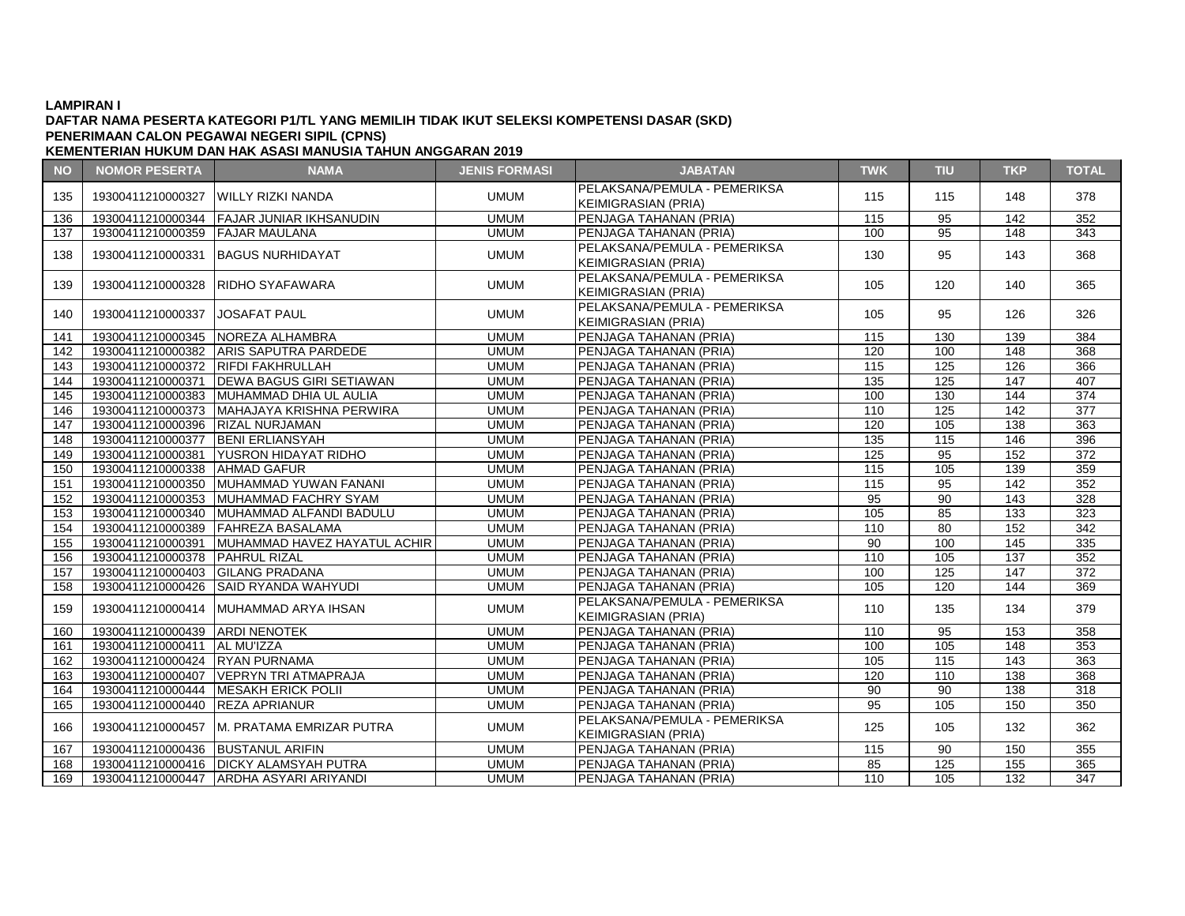## **DAFTAR NAMA PESERTA KATEGORI P1/TL YANG MEMILIH TIDAK IKUT SELEKSI KOMPETENSI DASAR (SKD) PENERIMAAN CALON PEGAWAI NEGERI SIPIL (CPNS)**

| <b>NO</b> | <b>NOMOR PESERTA</b>               | <b>NAMA</b>                                    | <b>JENIS FORMASI</b> | <b>JABATAN</b>                                                    | <b>TWK</b>       | <b>TIU</b> | <b>TKP</b>       | <b>TOTAL</b>     |
|-----------|------------------------------------|------------------------------------------------|----------------------|-------------------------------------------------------------------|------------------|------------|------------------|------------------|
| 135       |                                    | 19300411210000327 WILLY RIZKI NANDA            | <b>UMUM</b>          | PELAKSANA/PEMULA - PEMERIKSA                                      | 115              | 115        | 148              | 378              |
|           |                                    |                                                |                      | <b>KEIMIGRASIAN (PRIA)</b>                                        |                  |            |                  |                  |
| 136       |                                    | 19300411210000344 FAJAR JUNIAR IKHSANUDIN      | <b>UMUM</b>          | PENJAGA TAHANAN (PRIA)                                            | $\frac{115}{2}$  | 95         | $\overline{142}$ | 352              |
| 137       | 19300411210000359 FAJAR MAULANA    |                                                | <b>UMUM</b>          | PENJAGA TAHANAN (PRIA)                                            | 100              | 95         | 148              | 343              |
| 138       |                                    | 19300411210000331 BAGUS NURHIDAYAT             | <b>UMUM</b>          | PELAKSANA/PEMULA - PEMERIKSA<br>KEIMIGRASIAN (PRIA)               | 130              | 95         | 143              | 368              |
| 139       |                                    | 19300411210000328 RIDHO SYAFAWARA              | <b>UMUM</b>          | PELAKSANA/PEMULA - PEMERIKSA<br>KEIMIGRASIAN (PRIA)               | 105              | 120        | 140              | 365              |
| 140       | 19300411210000337 JOSAFAT PAUL     |                                                | <b>UMUM</b>          | PELAKSANA/PEMULA - PEMERIKSA<br>KEIMIGRASIAN (PRIA)               | 105              | 95         | 126              | 326              |
| 141       |                                    | 19300411210000345 NOREZA ALHAMBRA              | <b>UMUM</b>          | PENJAGA TAHANAN (PRIA)                                            | 115              | 130        | 139              | 384              |
| 142       |                                    | 19300411210000382 ARIS SAPUTRA PARDEDE         | <b>UMUM</b>          | <b>PENJAGA TAHANAN (PRIA)</b>                                     | 120              | 100        | 148              | 368              |
| 143       | 19300411210000372 RIFDI FAKHRULLAH |                                                | <b>UMUM</b>          | <b>IPENJAGA TAHANAN (PRIA)</b>                                    | 115              | 125        | 126              | 366              |
| 144       |                                    | 19300411210000371 DEWA BAGUS GIRI SETIAWAN     | <b>UMUM</b>          | PENJAGA TAHANAN (PRIA)                                            | 135              | 125        | 147              | 407              |
| 145       |                                    | 19300411210000383 MUHAMMAD DHIA UL AULIA       | <b>UMUM</b>          | PENJAGA TAHANAN (PRIA)                                            | 100              | 130        | 144              | $\overline{374}$ |
| 146       |                                    | 19300411210000373 MAHAJAYA KRISHNA PERWIRA     | <b>UMUM</b>          | <b>IPENJAGA TAHANAN (PRIA)</b>                                    | 110              | 125        | 142              | 377              |
| 147       | 19300411210000396 RIZAL NURJAMAN   |                                                | <b>UMUM</b>          | PENJAGA TAHANAN (PRIA)                                            | 120              | 105        | 138              | 363              |
| 148       | 19300411210000377 BENI ERLIANSYAH  |                                                | <b>UMUM</b>          | PENJAGA TAHANAN (PRIA)                                            | 135              | 115        | 146              | 396              |
| 149       |                                    | 19300411210000381 YUSRON HIDAYAT RIDHO         | <b>UMUM</b>          | PENJAGA TAHANAN (PRIA)                                            | 125              | 95         | 152              | 372              |
| 150       | 19300411210000338 AHMAD GAFUR      |                                                | <b>UMUM</b>          | PENJAGA TAHANAN (PRIA)                                            | 115              | 105        | 139              | 359              |
| 151       |                                    | 19300411210000350 MUHAMMAD YUWAN FANANI        | <b>UMUM</b>          | PENJAGA TAHANAN (PRIA)                                            | 115              | 95         | 142              | 352              |
| 152       |                                    | 19300411210000353 MUHAMMAD FACHRY SYAM         | <b>UMUM</b>          | PENJAGA TAHANAN (PRIA)                                            | 95               | 90         | 143              | 328              |
| 153       |                                    | 19300411210000340 MUHAMMAD ALFANDI BADULU      | <b>UMUM</b>          | PENJAGA TAHANAN (PRIA)                                            | 105              | 85         | $\overline{133}$ | 323              |
| 154       |                                    | 19300411210000389 FAHREZA BASALAMA             | <b>UMUM</b>          | PENJAGA TAHANAN (PRIA)                                            | 110              | 80         | 152              | 342              |
| 155       |                                    | 19300411210000391 MUHAMMAD HAVEZ HAYATUL ACHIR | <b>UMUM</b>          | PENJAGA TAHANAN (PRIA)                                            | 90               | 100        | 145              | 335              |
| 156       | 19300411210000378 PAHRUL RIZAL     |                                                | <b>UMUM</b>          | PENJAGA TAHANAN (PRIA)                                            | 110              | 105        | 137              | 352              |
| 157       | 19300411210000403 GILANG PRADANA   |                                                | <b>UMUM</b>          | PENJAGA TAHANAN (PRIA)                                            | 100              | 125        | 147              | 372              |
| 158       |                                    | 19300411210000426 SAID RYANDA WAHYUDI          | <b>UMUM</b>          | PENJAGA TAHANAN (PRIA)                                            | 105              | 120        | 144              | 369              |
| 159       |                                    | 19300411210000414 MUHAMMAD ARYA IHSAN          | <b>UMUM</b>          | PELAKSANA/PEMULA - PEMERIKSA<br>KEIMIGRASIAN (PRIA)               | 110              | 135        | 134              | 379              |
| 160       | 19300411210000439 ARDI NENOTEK     |                                                | <b>UMUM</b>          | PENJAGA TAHANAN (PRIA)                                            | 110              | 95         | 153              | 358              |
| 161       | 19300411210000411   AL MU'IZZA     |                                                | <b>UMUM</b>          | PENJAGA TAHANAN (PRIA)                                            | 100              | 105        | 148              | 353              |
| 162       | 19300411210000424 RYAN PURNAMA     |                                                | <b>UMUM</b>          | PENJAGA TAHANAN (PRIA)                                            | 105              | 115        | 143              | 363              |
| 163       |                                    | 19300411210000407 VEPRYN TRI ATMAPRAJA         | <b>UMUM</b>          | PENJAGA TAHANAN (PRIA)                                            | $\overline{120}$ | 110        | 138              | 368              |
| 164       |                                    | 19300411210000444   MESAKH ERICK POLII         | <b>UMUM</b>          | PENJAGA TAHANAN (PRIA)                                            | 90               | 90         | 138              | 318              |
| 165       | 19300411210000440 REZA APRIANUR    |                                                | <b>UMUM</b>          | PENJAGA TAHANAN (PRIA)                                            | 95               | 105        | 150              | 350              |
| 166       |                                    | 19300411210000457 M. PRATAMA EMRIZAR PUTRA     | <b>UMUM</b>          | <b>PELAKSANA/PEMULA - PEMERIKSA</b><br><b>KEIMIGRASIAN (PRIA)</b> | 125              | 105        | 132              | 362              |
| 167       | 19300411210000436 BUSTANUL ARIFIN  |                                                | <b>UMUM</b>          | PENJAGA TAHANAN (PRIA)                                            | 115              | 90         | 150              | 355              |
| 168       |                                    | 19300411210000416 DICKY ALAMSYAH PUTRA         | <b>UMUM</b>          | PENJAGA TAHANAN (PRIA)                                            | 85               | 125        | 155              | 365              |
| 169       |                                    | 19300411210000447 ARDHA ASYARI ARIYANDI        | <b>UMUM</b>          | <b>PENJAGA TAHANAN (PRIA)</b>                                     | 110              | 105        | 132              | 347              |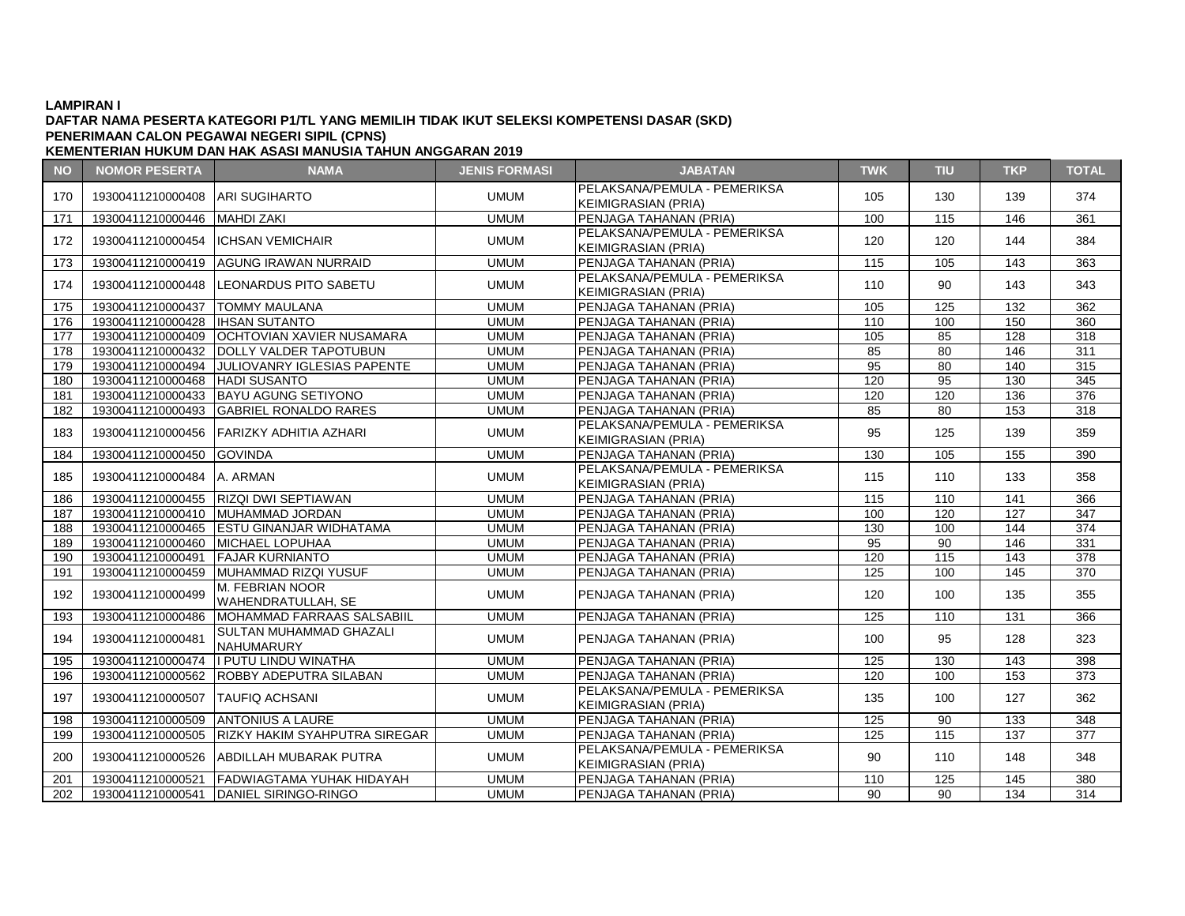## **DAFTAR NAMA PESERTA KATEGORI P1/TL YANG MEMILIH TIDAK IKUT SELEKSI KOMPETENSI DASAR (SKD) PENERIMAAN CALON PEGAWAI NEGERI SIPIL (CPNS)**

| <b>NO</b> | <b>NOMOR PESERTA</b>                | <b>NAMA</b>                                     | <b>JENIS FORMASI</b> | <b>JABATAN</b>                                             | <b>TWK</b> | <b>TIU</b> | <b>TKP</b>      | <b>TOTAL</b>     |
|-----------|-------------------------------------|-------------------------------------------------|----------------------|------------------------------------------------------------|------------|------------|-----------------|------------------|
| 170       | 19300411210000408 ARI SUGIHARTO     |                                                 | <b>UMUM</b>          | PELAKSANA/PEMULA - PEMERIKSA<br><b>KEIMIGRASIAN (PRIA)</b> | 105        | 130        | 139             | 374              |
| 171       | 19300411210000446   MAHDI ZAKI      |                                                 | <b>UMUM</b>          | PENJAGA TAHANAN (PRIA)                                     | 100        | 115        | 146             | $\overline{361}$ |
| 172       | 19300411210000454  ICHSAN VEMICHAIR |                                                 | <b>UMUM</b>          | PELAKSANA/PEMULA - PEMERIKSA<br>KEIMIGRASIAN (PRIA)        | 120        | 120        | 144             | 384              |
| 173       |                                     | 19300411210000419 AGUNG IRAWAN NURRAID          | <b>UMUM</b>          | PENJAGA TAHANAN (PRIA)                                     | 115        | 105        | 143             | 363              |
| 174       |                                     | 19300411210000448 LEONARDUS PITO SABETU         | <b>UMUM</b>          | PELAKSANA/PEMULA - PEMERIKSA<br><b>KEIMIGRASIAN (PRIA)</b> | 110        | 90         | 143             | 343              |
| 175       | 19300411210000437 TOMMY MAULANA     |                                                 | <b>UMUM</b>          | PENJAGA TAHANAN (PRIA)                                     | 105        | 125        | 132             | 362              |
| 176       | 19300411210000428   IHSAN SUTANTO   |                                                 | <b>UMUM</b>          | PENJAGA TAHANAN (PRIA)                                     | 110        | 100        | 150             | 360              |
| 177       |                                     | 19300411210000409 OCHTOVIAN XAVIER NUSAMARA     | <b>UMUM</b>          | PENJAGA TAHANAN (PRIA)                                     | 105        | 85         | 128             | 318              |
| 178       |                                     | 19300411210000432 DOLLY VALDER TAPOTUBUN        | <b>UMUM</b>          | PENJAGA TAHANAN (PRIA)                                     | 85         | 80         | 146             | 311              |
| 179       |                                     | 19300411210000494 JULIOVANRY IGLESIAS PAPENTE   | <b>UMUM</b>          | PENJAGA TAHANAN (PRIA)                                     | 95         | 80         | 140             | 315              |
| 180       | 19300411210000468 HADI SUSANTO      |                                                 | <b>UMUM</b>          | PENJAGA TAHANAN (PRIA)                                     | 120        | 95         | 130             | 345              |
| 181       |                                     | 19300411210000433 BAYU AGUNG SETIYONO           | <b>UMUM</b>          | PENJAGA TAHANAN (PRIA)                                     | 120        | 120        | 136             | 376              |
| 182       |                                     | 19300411210000493 GABRIEL RONALDO RARES         | <b>UMUM</b>          | PENJAGA TAHANAN (PRIA)                                     | 85         | 80         | 153             | 318              |
| 183       |                                     | 19300411210000456 FARIZKY ADHITIA AZHARI        | <b>UMUM</b>          | PELAKSANA/PEMULA - PEMERIKSA<br>KEIMIGRASIAN (PRIA)        | 95         | 125        | 139             | 359              |
| 184       | 19300411210000450                   | <b>GOVINDA</b>                                  | <b>UMUM</b>          | PENJAGA TAHANAN (PRIA)                                     | 130        | 105        | 155             | $\overline{390}$ |
| 185       | 19300411210000484 A. ARMAN          |                                                 | <b>UMUM</b>          | PELAKSANA/PEMULA - PEMERIKSA<br>KEIMIGRASIAN (PRIA)        | 115        | 110        | 133             | 358              |
| 186       |                                     | 19300411210000455 RIZQI DWI SEPTIAWAN           | <b>UMUM</b>          | PENJAGA TAHANAN (PRIA)                                     | 115        | 110        | 141             | 366              |
| 187       |                                     | 19300411210000410 MUHAMMAD JORDAN               | <b>UMUM</b>          | PENJAGA TAHANAN (PRIA)                                     | 100        | 120        | 127             | 347              |
| 188       |                                     | 19300411210000465 ESTU GINANJAR WIDHATAMA       | <b>UMUM</b>          | PENJAGA TAHANAN (PRIA)                                     | 130        | 100        | 144             | 374              |
| 189       | 19300411210000460 MICHAEL LOPUHAA   |                                                 | <b>UMUM</b>          | PENJAGA TAHANAN (PRIA)                                     | 95         | 90         | 146             | 331              |
| 190       | 19300411210000491                   | <b>FAJAR KURNIANTO</b>                          | <b>UMUM</b>          | PENJAGA TAHANAN (PRIA)                                     | 120        | 115        | 143             | 378              |
| 191       |                                     | 19300411210000459 MUHAMMAD RIZQI YUSUF          | <b>UMUM</b>          | PENJAGA TAHANAN (PRIA)                                     | 125        | 100        | 145             | 370              |
| 192       | 19300411210000499                   | M. FEBRIAN NOOR<br><b>WAHENDRATULLAH, SE</b>    | <b>UMUM</b>          | <b>PENJAGA TAHANAN (PRIA)</b>                              | 120        | 100        | 135             | 355              |
| 193       | 19300411210000486                   | MOHAMMAD FARRAAS SALSABIIL                      | <b>UMUM</b>          | PENJAGA TAHANAN (PRIA)                                     | 125        | 110        | 131             | 366              |
| 194       | 19300411210000481                   | SULTAN MUHAMMAD GHAZALI<br><b>NAHUMARURY</b>    | <b>UMUM</b>          | PENJAGA TAHANAN (PRIA)                                     | 100        | 95         | 128             | 323              |
| 195       | 19300411210000474                   | II PUTU LINDU WINATHA                           | <b>UMUM</b>          | PENJAGA TAHANAN (PRIA)                                     | 125        | 130        | 143             | 398              |
| 196       | 19300411210000562                   | <b>ROBBY ADEPUTRA SILABAN</b>                   | <b>UMUM</b>          | PENJAGA TAHANAN (PRIA)                                     | 120        | 100        | 153             | 373              |
| 197       | 19300411210000507 TAUFIQ ACHSANI    |                                                 | <b>UMUM</b>          | PELAKSANA/PEMULA - PEMERIKSA<br>KEIMIGRASIAN (PRIA)        | 135        | 100        | 127             | 362              |
| 198       |                                     | 19300411210000509 ANTONIUS A LAURE              | <b>UMUM</b>          | PENJAGA TAHANAN (PRIA)                                     | 125        | 90         | 133             | 348              |
| 199       |                                     | 19300411210000505 RIZKY HAKIM SYAHPUTRA SIREGAR | <b>UMUM</b>          | <b>IPENJAGA TAHANAN (PRIA)</b>                             | 125        | 115        | 137             | 377              |
| 200       |                                     | 19300411210000526 ABDILLAH MUBARAK PUTRA        | <b>UMUM</b>          | PELAKSANA/PEMULA - PEMERIKSA<br><b>KEIMIGRASIAN (PRIA)</b> | 90         | 110        | 148             | 348              |
| 201       | 19300411210000521                   | FADWIAGTAMA YUHAK HIDAYAH                       | <b>UMUM</b>          | PENJAGA TAHANAN (PRIA)                                     | 110        | 125        | $\frac{145}{2}$ | 380              |
| 202       |                                     | 19300411210000541 DANIEL SIRINGO-RINGO          | <b>UMUM</b>          | PENJAGA TAHANAN (PRIA)                                     | 90         | 90         | 134             | 314              |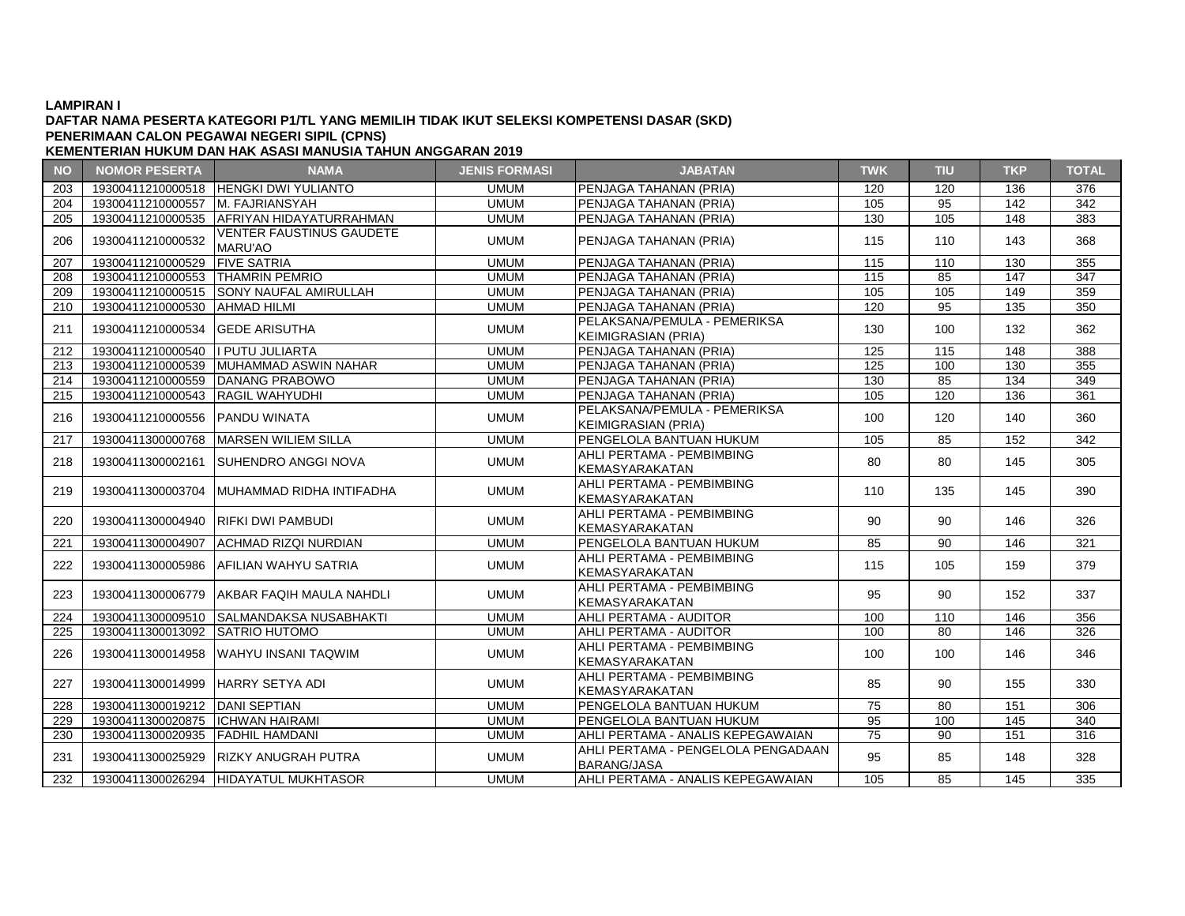### **DAFTAR NAMA PESERTA KATEGORI P1/TL YANG MEMILIH TIDAK IKUT SELEKSI KOMPETENSI DASAR (SKD) PENERIMAAN CALON PEGAWAI NEGERI SIPIL (CPNS)**

| <b>NO</b> | <b>NOMOR PESERTA</b>                | <b>NAMA</b>                                       | <b>JENIS FORMASI</b> | <b>JABATAN</b>                                             | <b>TWK</b> | <b>TIU</b> | <b>TKP</b>       | <b>TOTAL</b> |
|-----------|-------------------------------------|---------------------------------------------------|----------------------|------------------------------------------------------------|------------|------------|------------------|--------------|
| 203       |                                     | 19300411210000518 HENGKI DWI YULIANTO             | <b>UMUM</b>          | PENJAGA TAHANAN (PRIA)                                     | 120        | 120        | 136              | 376          |
| 204       | 19300411210000557                   | <b>M. FAJRIANSYAH</b>                             | <b>UMUM</b>          | PENJAGA TAHANAN (PRIA)                                     | 105        | 95         | 142              | 342          |
| 205       | 19300411210000535                   | <b>AFRIYAN HIDAYATURRAHMAN</b>                    | <b>UMUM</b>          | PENJAGA TAHANAN (PRIA)                                     | 130        | 105        | 148              | 383          |
| 206       | 19300411210000532                   | <b>VENTER FAUSTINUS GAUDETE</b><br><b>MARU'AO</b> | <b>UMUM</b>          | PENJAGA TAHANAN (PRIA)                                     | 115        | 110        | 143              | 368          |
| 207       | 19300411210000529                   | <b>FIVE SATRIA</b>                                | <b>UMUM</b>          | <b>IPENJAGA TAHANAN (PRIA)</b>                             | 115        | 110        | 130              | 355          |
| 208       | 19300411210000553 THAMRIN PEMRIO    |                                                   | <b>UMUM</b>          | PENJAGA TAHANAN (PRIA)                                     | 115        | 85         | $\overline{147}$ | 347          |
| 209       |                                     | 19300411210000515 SONY NAUFAL AMIRULLAH           | <b>UMUM</b>          | PENJAGA TAHANAN (PRIA)                                     | 105        | 105        | 149              | 359          |
| 210       | 19300411210000530                   | <b>AHMAD HILMI</b>                                | <b>UMUM</b>          | PENJAGA TAHANAN (PRIA)                                     | 120        | 95         | 135              | 350          |
| 211       | 19300411210000534                   | <b>GEDE ARISUTHA</b>                              | <b>UMUM</b>          | PELAKSANA/PEMULA - PEMERIKSA<br><b>KEIMIGRASIAN (PRIA)</b> | 130        | 100        | 132              | 362          |
| 212       | 19300411210000540                   | I PUTU JULIARTA                                   | <b>UMUM</b>          | PENJAGA TAHANAN (PRIA)                                     | 125        | 115        | 148              | 388          |
| 213       | 19300411210000539                   | MUHAMMAD ASWIN NAHAR                              | <b>UMUM</b>          | PENJAGA TAHANAN (PRIA)                                     | 125        | 100        | 130              | 355          |
| 214       | 19300411210000559                   | DANANG PRABOWO                                    | <b>UMUM</b>          | PENJAGA TAHANAN (PRIA)                                     | 130        | 85         | 134              | 349          |
| 215       | 19300411210000543                   | <b>RAGIL WAHYUDHI</b>                             | <b>UMUM</b>          | PENJAGA TAHANAN (PRIA)                                     | 105        | 120        | 136              | 361          |
| 216       | 19300411210000556                   | <b>PANDU WINATA</b>                               | <b>UMUM</b>          | PELAKSANA/PEMULA - PEMERIKSA<br><b>KEIMIGRASIAN (PRIA)</b> | 100        | 120        | 140              | 360          |
| 217       | 19300411300000768                   | <b>IMARSEN WILIEM SILLA</b>                       | <b>UMUM</b>          | PENGELOLA BANTUAN HUKUM                                    | 105        | 85         | 152              | 342          |
| 218       | 19300411300002161                   | <b>ISUHENDRO ANGGI NOVA</b>                       | <b>UMUM</b>          | AHLI PERTAMA - PEMBIMBING<br>KEMASYARAKATAN                | 80         | 80         | 145              | 305          |
| 219       | 19300411300003704                   | IMUHAMMAD RIDHA INTIFADHA                         | <b>UMUM</b>          | AHLI PERTAMA - PEMBIMBING<br>KEMASYARAKATAN                | 110        | 135        | 145              | 390          |
| 220       | 19300411300004940 RIFKI DWI PAMBUDI |                                                   | <b>UMUM</b>          | AHLI PERTAMA - PEMBIMBING<br>KEMASYARAKATAN                | 90         | 90         | 146              | 326          |
| 221       | 19300411300004907                   | <b>ACHMAD RIZQI NURDIAN</b>                       | <b>UMUM</b>          | PENGELOLA BANTUAN HUKUM                                    | 85         | 90         | 146              | 321          |
| 222       | 19300411300005986                   | AFILIAN WAHYU SATRIA                              | <b>UMUM</b>          | AHLI PERTAMA - PEMBIMBING<br>KEMASYARAKATAN                | 115        | 105        | 159              | 379          |
| 223       | 19300411300006779                   | IAKBAR FAQIH MAULA NAHDLI                         | <b>UMUM</b>          | AHLI PERTAMA - PEMBIMBING<br>KEMASYARAKATAN                | 95         | 90         | 152              | 337          |
| 224       | 19300411300009510                   | ISALMANDAKSA NUSABHAKTI                           | <b>UMUM</b>          | IAHLI PERTAMA - AUDITOR                                    | 100        | 110        | 146              | 356          |
| 225       | 19300411300013092                   | <b>SATRIO HUTOMO</b>                              | <b>UMUM</b>          | AHLI PERTAMA - AUDITOR                                     | 100        | 80         | 146              | 326          |
| 226       | 19300411300014958                   | IWAHYU INSANI TAQWIM                              | <b>UMUM</b>          | AHLI PERTAMA - PEMBIMBING<br>KEMASYARAKATAN                | 100        | 100        | 146              | 346          |
| 227       | 19300411300014999                   | IHARRY SETYA ADI                                  | <b>UMUM</b>          | AHLI PERTAMA - PEMBIMBING<br><b>KEMASYARAKATAN</b>         | 85         | 90         | 155              | 330          |
| 228       | 19300411300019212                   | <b>DANI SEPTIAN</b>                               | <b>UMUM</b>          | PENGELOLA BANTUAN HUKUM                                    | 75         | 80         | 151              | 306          |
| 229       | 19300411300020875                   | <b>ICHWAN HAIRAMI</b>                             | <b>UMUM</b>          | PENGELOLA BANTUAN HUKUM                                    | 95         | 100        | 145              | 340          |
| 230       | 19300411300020935                   | <b>FADHIL HAMDANI</b>                             | <b>UMUM</b>          | AHLI PERTAMA - ANALIS KEPEGAWAIAN                          | 75         | 90         | 151              | 316          |
| 231       | 19300411300025929                   | <b>RIZKY ANUGRAH PUTRA</b>                        | <b>UMUM</b>          | AHLI PERTAMA - PENGELOLA PENGADAAN<br><b>BARANG/JASA</b>   | 95         | 85         | 148              | 328          |
| 232       |                                     | 19300411300026294 HIDAYATUL MUKHTASOR             | <b>UMUM</b>          | AHLI PERTAMA - ANALIS KEPEGAWAIAN                          | 105        | 85         | 145              | 335          |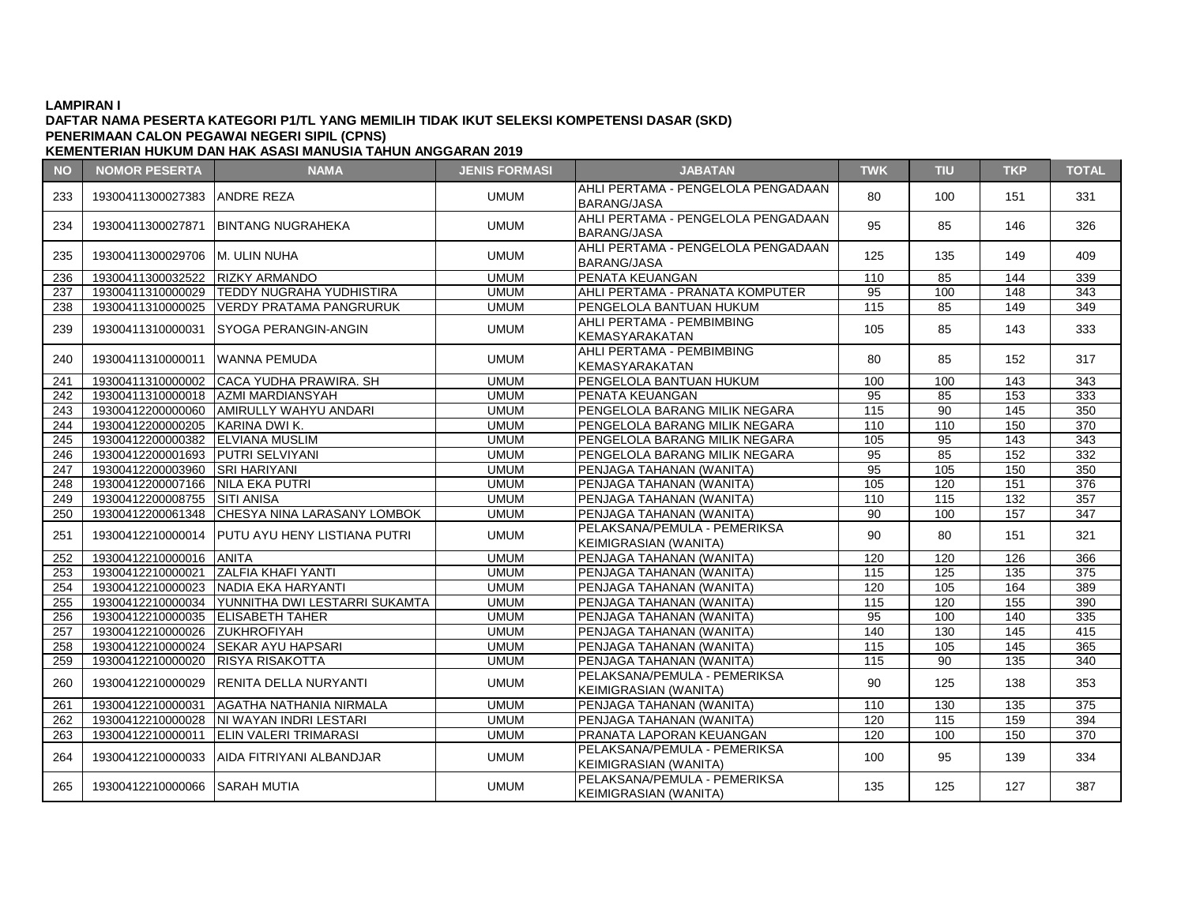# **DAFTAR NAMA PESERTA KATEGORI P1/TL YANG MEMILIH TIDAK IKUT SELEKSI KOMPETENSI DASAR (SKD) PENERIMAAN CALON PEGAWAI NEGERI SIPIL (CPNS)**

| <b>NO</b> | <b>NOMOR PESERTA</b>              | <b>NAMA</b>                                    | <b>JENIS FORMASI</b> | <b>JABATAN</b>                                               | <b>TWK</b>      | <b>TIU</b>      | <b>TKP</b> | <b>TOTAL</b> |
|-----------|-----------------------------------|------------------------------------------------|----------------------|--------------------------------------------------------------|-----------------|-----------------|------------|--------------|
| 233       | 19300411300027383 ANDRE REZA      |                                                | <b>UMUM</b>          | AHLI PERTAMA - PENGELOLA PENGADAAN<br><b>BARANG/JASA</b>     | 80              | 100             | 151        | 331          |
| 234       | 19300411300027871                 | <b>BINTANG NUGRAHEKA</b>                       | <b>UMUM</b>          | AHLI PERTAMA - PENGELOLA PENGADAAN<br><b>BARANG/JASA</b>     | 95              | 85              | 146        | 326          |
| 235       | 19300411300029706 M. ULIN NUHA    |                                                | <b>UMUM</b>          | AHLI PERTAMA - PENGELOLA PENGADAAN<br><b>BARANG/JASA</b>     | 125             | 135             | 149        | 409          |
| 236       | 19300411300032522                 | <b>RIZKY ARMANDO</b>                           | <b>UMUM</b>          | PENATA KEUANGAN                                              | 110             | 85              | 144        | 339          |
| 237       | 19300411310000029                 | TEDDY NUGRAHA YUDHISTIRA                       | <b>UMUM</b>          | AHLI PERTAMA - PRANATA KOMPUTER                              | 95              | 100             | 148        | 343          |
| 238       | 19300411310000025                 | <b>VERDY PRATAMA PANGRURUK</b>                 | <b>UMUM</b>          | PENGELOLA BANTUAN HUKUM                                      | 115             | 85              | 149        | 349          |
| 239       | 19300411310000031                 | <b>SYOGA PERANGIN-ANGIN</b>                    | <b>UMUM</b>          | AHLI PERTAMA - PEMBIMBING<br><b>KEMASYARAKATAN</b>           | 105             | 85              | 143        | 333          |
| 240       | 19300411310000011                 | <b>IWANNA PEMUDA</b>                           | <b>UMUM</b>          | AHLI PERTAMA - PEMBIMBING<br><b>KEMASYARAKATAN</b>           | 80              | 85              | 152        | 317          |
| 241       | 19300411310000002                 | ICACA YUDHA PRAWIRA, SH                        | <b>UMUM</b>          | PENGELOLA BANTUAN HUKUM                                      | 100             | 100             | 143        | 343          |
| 242       |                                   | 19300411310000018 AZMI MARDIANSYAH             | <b>UMUM</b>          | PENATA KEUANGAN                                              | 95              | 85              | 153        | 333          |
| 243       | 19300412200000060                 | AMIRULLY WAHYU ANDARI                          | <b>UMUM</b>          | PENGELOLA BARANG MILIK NEGARA                                | 115             | $\overline{90}$ | 145        | 350          |
| 244       | 19300412200000205 KARINA DWI K.   |                                                | <b>UMUM</b>          | PENGELOLA BARANG MILIK NEGARA                                | 110             | 110             | 150        | 370          |
| 245       | 19300412200000382                 | <b>ELVIANA MUSLIM</b>                          | <b>UMUM</b>          | PENGELOLA BARANG MILIK NEGARA                                | 105             | 95              | 143        | 343          |
| 246       | 19300412200001693 PUTRI SELVIYANI |                                                | <b>UMUM</b>          | PENGELOLA BARANG MILIK NEGARA                                | $\overline{95}$ | 85              | 152        | 332          |
| 247       | 19300412200003960 SRI HARIYANI    |                                                | <b>UMUM</b>          | PENJAGA TAHANAN (WANITA)                                     | $\overline{95}$ | 105             | 150        | 350          |
| 248       | 19300412200007166 NILA EKA PUTRI  |                                                | <b>UMUM</b>          | PENJAGA TAHANAN (WANITA)                                     | 105             | 120             | 151        | 376          |
| 249       | 19300412200008755 SITI ANISA      |                                                | <b>UMUM</b>          | PENJAGA TAHANAN (WANITA)                                     | 110             | $\frac{115}{2}$ | 132        | 357          |
| 250       |                                   | 19300412200061348 CHESYA NINA LARASANY LOMBOK  | <b>UMUM</b>          | PENJAGA TAHANAN (WANITA)                                     | $\overline{90}$ | 100             | 157        | 347          |
| 251       |                                   | 19300412210000014 PUTU AYU HENY LISTIANA PUTRI | <b>UMUM</b>          | PELAKSANA/PEMULA - PEMERIKSA<br>KEIMIGRASIAN (WANITA)        | 90              | 80              | 151        | 321          |
| 252       | 19300412210000016 ANITA           |                                                | <b>UMUM</b>          | PENJAGA TAHANAN (WANITA)                                     | 120             | 120             | 126        | 366          |
| 253       | 19300412210000021                 | <b>ZALFIA KHAFI YANTI</b>                      | <b>UMUM</b>          | PENJAGA TAHANAN (WANITA)                                     | 115             | 125             | 135        | 375          |
| 254       |                                   | 19300412210000023 NADIA EKA HARYANTI           | <b>UMUM</b>          | PENJAGA TAHANAN (WANITA)                                     | 120             | 105             | 164        | 389          |
| 255       | 19300412210000034                 | YUNNITHA DWI LESTARRI SUKAMTA                  | <b>UMUM</b>          | PENJAGA TAHANAN (WANITA)                                     | 115             | 120             | 155        | 390          |
| 256       | 19300412210000035 ELISABETH TAHER |                                                | <b>UMUM</b>          | PENJAGA TAHANAN (WANITA)                                     | $\overline{95}$ | 100             | 140        | 335          |
| 257       | 19300412210000026                 | <b>ZUKHROFIYAH</b>                             | <b>UMUM</b>          | PENJAGA TAHANAN (WANITA)                                     | 140             | 130             | 145        | 415          |
| 258       | 19300412210000024                 | <b>SEKAR AYU HAPSARI</b>                       | <b>UMUM</b>          | PENJAGA TAHANAN (WANITA)                                     | 115             | 105             | 145        | 365          |
| 259       | 19300412210000020                 | <b>RISYA RISAKOTTA</b>                         | <b>UMUM</b>          | PENJAGA TAHANAN (WANITA)                                     | 115             | 90              | 135        | 340          |
| 260       |                                   | 19300412210000029 RENITA DELLA NURYANTI        | <b>UMUM</b>          | PELAKSANA/PEMULA - PEMERIKSA<br><b>KEIMIGRASIAN (WANITA)</b> | 90              | 125             | 138        | 353          |
| 261       | 19300412210000031                 | AGATHA NATHANIA NIRMALA                        | <b>UMUM</b>          | PENJAGA TAHANAN (WANITA)                                     | 110             | 130             | 135        | 375          |
| 262       |                                   | 19300412210000028   NI WAYAN INDRI LESTARI     | <b>UMUM</b>          | PENJAGA TAHANAN (WANITA)                                     | 120             | 115             | 159        | 394          |
| 263       | 19300412210000011                 | <b>ELIN VALERI TRIMARASI</b>                   | <b>UMUM</b>          | PRANATA LAPORAN KEUANGAN                                     | 120             | 100             | 150        | 370          |
| 264       |                                   | 19300412210000033 AIDA FITRIYANI ALBANDJAR     | <b>UMUM</b>          | PELAKSANA/PEMULA - PEMERIKSA<br>KEIMIGRASIAN (WANITA)        | 100             | 95              | 139        | 334          |
| 265       | 19300412210000066 SARAH MUTIA     |                                                | <b>UMUM</b>          | PELAKSANA/PEMULA - PEMERIKSA<br><b>KEIMIGRASIAN (WANITA)</b> | 135             | 125             | 127        | 387          |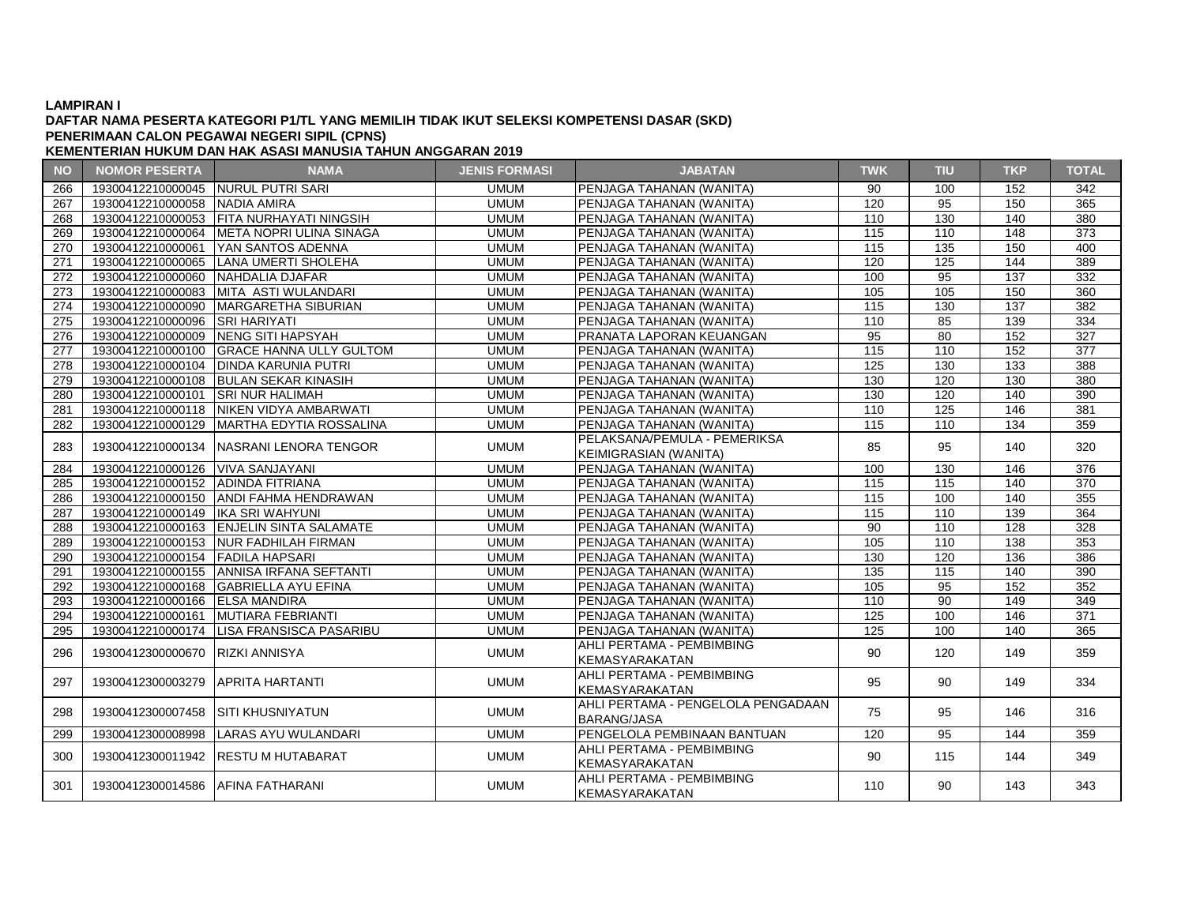#### **DAFTAR NAMA PESERTA KATEGORI P1/TL YANG MEMILIH TIDAK IKUT SELEKSI KOMPETENSI DASAR (SKD) PENERIMAAN CALON PEGAWAI NEGERI SIPIL (CPNS)**

| <b>NO</b> | <b>NOMOR PESERTA</b>                | <b>NAMA</b>                                 | <b>JENIS FORMASI</b> | <b>JABATAN</b>                     | <b>TWK</b>       | <b>TIU</b>       | <b>TKP</b>       | <b>TOTAL</b>     |
|-----------|-------------------------------------|---------------------------------------------|----------------------|------------------------------------|------------------|------------------|------------------|------------------|
| 266       | 19300412210000045 NURUL PUTRI SARI  |                                             | <b>UMUM</b>          | PENJAGA TAHANAN (WANITA)           | 90               | 100              | 152              | 342              |
| 267       | 19300412210000058 NADIA AMIRA       |                                             | <b>UMUM</b>          | PENJAGA TAHANAN (WANITA)           | 120              | $\overline{95}$  | 150              | 365              |
| 268       |                                     | 19300412210000053 FITA NURHAYATI NINGSIH    | <b>UMUM</b>          | PENJAGA TAHANAN (WANITA)           | 110              | 130              | 140              | 380              |
| 269       |                                     | 19300412210000064   META NOPRI ULINA SINAGA | <b>UMUM</b>          | PENJAGA TAHANAN (WANITA)           | 115              | 110              | $\overline{148}$ | $\overline{373}$ |
| 270       |                                     | 19300412210000061 YAN SANTOS ADENNA         | <b>UMUM</b>          | PENJAGA TAHANAN (WANITA)           | 115              | 135              | 150              | 400              |
| 271       |                                     | 19300412210000065 LANA UMERTI SHOLEHA       | <b>UMUM</b>          | PENJAGA TAHANAN (WANITA)           | 120              | 125              | 144              | 389              |
| 272       | 19300412210000060 NAHDALIA DJAFAR   |                                             | <b>UMUM</b>          | PENJAGA TAHANAN (WANITA)           | 100              | 95               | 137              | 332              |
| 273       |                                     | 19300412210000083 MITA ASTI WULANDARI       | <b>UMUM</b>          | PENJAGA TAHANAN (WANITA)           | 105              | 105              | 150              | 360              |
| 274       |                                     | 19300412210000090   MARGARETHA SIBURIAN     | <b>UMUM</b>          | PENJAGA TAHANAN (WANITA)           | 115              | 130              | 137              | 382              |
| 275       | 19300412210000096 SRI HARIYATI      |                                             | <b>UMUM</b>          | PENJAGA TAHANAN (WANITA)           | 110              | 85               | 139              | 334              |
| 276       |                                     | 19300412210000009 NENG SITI HAPSYAH         | <b>UMUM</b>          | PRANATA LAPORAN KEUANGAN           | 95               | 80               | 152              | 327              |
| 277       |                                     | 19300412210000100 GRACE HANNA ULLY GULTOM   | <b>UMUM</b>          | PENJAGA TAHANAN (WANITA)           | $\overline{115}$ | $\overline{110}$ | 152              | 377              |
| 278       |                                     | 19300412210000104 DINDA KARUNIA PUTRI       | <b>UMUM</b>          | PENJAGA TAHANAN (WANITA)           | 125              | 130              | 133              | 388              |
| 279       |                                     | 19300412210000108 BULAN SEKAR KINASIH       | <b>UMUM</b>          | PENJAGA TAHANAN (WANITA)           | 130              | 120              | 130              | 380              |
| 280       | 19300412210000101 SRI NUR HALIMAH   |                                             | <b>UMUM</b>          | PENJAGA TAHANAN (WANITA)           | 130              | 120              | 140              | 390              |
| 281       |                                     | 19300412210000118 NIKEN VIDYA AMBARWATI     | <b>UMUM</b>          | PENJAGA TAHANAN (WANITA)           | 110              | 125              | 146              | 381              |
| 282       |                                     | 19300412210000129   MARTHA EDYTIA ROSSALINA | <b>UMUM</b>          | PENJAGA TAHANAN (WANITA)           | 115              | 110              | 134              | 359              |
| 283       |                                     | 19300412210000134 NASRANI LENORA TENGOR     | <b>UMUM</b>          | PELAKSANA/PEMULA - PEMERIKSA       | 85               | 95               | 140              | 320              |
|           |                                     |                                             |                      | KEIMIGRASIAN (WANITA)              |                  |                  |                  |                  |
| 284       | 19300412210000126 VIVA SANJAYANI    |                                             | <b>UMUM</b>          | PENJAGA TAHANAN (WANITA)           | 100              | 130              | 146              | 376              |
| 285       | 19300412210000152 ADINDA FITRIANA   |                                             | <b>UMUM</b>          | PENJAGA TAHANAN (WANITA)           | 115              | 115              | 140              | 370              |
| 286       |                                     | 19300412210000150 ANDI FAHMA HENDRAWAN      | <b>UMUM</b>          | PENJAGA TAHANAN (WANITA)           | 115              | 100              | 140              | 355              |
| 287       | 19300412210000149   IKA SRI WAHYUNI |                                             | <b>UMUM</b>          | PENJAGA TAHANAN (WANITA)           | $\frac{115}{2}$  | 110              | 139              | 364              |
| 288       |                                     | 19300412210000163 ENJELIN SINTA SALAMATE    | <b>UMUM</b>          | PENJAGA TAHANAN (WANITA)           | $\overline{90}$  | 110              | 128              | 328              |
| 289       |                                     | 19300412210000153 NUR FADHILAH FIRMAN       | <b>UMUM</b>          | PENJAGA TAHANAN (WANITA)           | 105              | 110              | 138              | 353              |
| 290       | 19300412210000154 FADILA HAPSARI    |                                             | <b>UMUM</b>          | PENJAGA TAHANAN (WANITA)           | 130              | 120              | 136              | 386              |
| 291       |                                     | 19300412210000155 ANNISA IRFANA SEFTANTI    | <b>UMUM</b>          | PENJAGA TAHANAN (WANITA)           | $\overline{135}$ | $\frac{115}{2}$  | 140              | 390              |
| 292       |                                     | 19300412210000168 GABRIELLA AYU EFINA       | <b>UMUM</b>          | PENJAGA TAHANAN (WANITA)           | 105              | $\overline{95}$  | 152              | 352              |
| 293       | 19300412210000166 ELSA MANDIRA      |                                             | <b>UMUM</b>          | PENJAGA TAHANAN (WANITA)           | 110              | 90               | 149              | 349              |
| 294       |                                     | 19300412210000161 MUTIARA FEBRIANTI         | <b>UMUM</b>          | PENJAGA TAHANAN (WANITA)           | 125              | 100              | 146              | 371              |
| 295       |                                     | 19300412210000174   LISA FRANSISCA PASARIBU | <b>UMUM</b>          | PENJAGA TAHANAN (WANITA)           | 125              | 100              | 140              | 365              |
| 296       | 19300412300000670                   | RIZKI ANNISYA                               | <b>UMUM</b>          | AHLI PERTAMA - PEMBIMBING          | 90               | 120              | 149              | 359              |
|           |                                     |                                             |                      | <b>KEMASYARAKATAN</b>              |                  |                  |                  |                  |
| 297       | 19300412300003279 APRITA HARTANTI   |                                             | <b>UMUM</b>          | AHLI PERTAMA - PEMBIMBING          | 95               | 90               | 149              | 334              |
|           |                                     |                                             |                      | <b>KEMASYARAKATAN</b>              |                  |                  |                  |                  |
| 298       | 19300412300007458                   | ISITI KHUSNIYATUN                           | <b>UMUM</b>          | AHLI PERTAMA - PENGELOLA PENGADAAN | 75               | 95               | 146              | 316              |
|           |                                     |                                             |                      | <b>BARANG/JASA</b>                 |                  |                  |                  |                  |
| 299       |                                     | 19300412300008998 LARAS AYU WULANDARI       | <b>UMUM</b>          | PENGELOLA PEMBINAAN BANTUAN        | 120              | 95               | 144              | 359              |
| 300       |                                     | 19300412300011942 RESTU M HUTABARAT         | <b>UMUM</b>          | AHLI PERTAMA - PEMBIMBING          | 90               | 115              | 144              | 349              |
|           |                                     |                                             |                      | KEMASYARAKATAN                     |                  |                  |                  |                  |
| 301       | 19300412300014586 AFINA FATHARANI   |                                             | <b>UMUM</b>          | AHLI PERTAMA - PEMBIMBING          | 110              | 90               | 143              | 343              |
|           |                                     |                                             |                      | <b>KEMASYARAKATAN</b>              |                  |                  |                  |                  |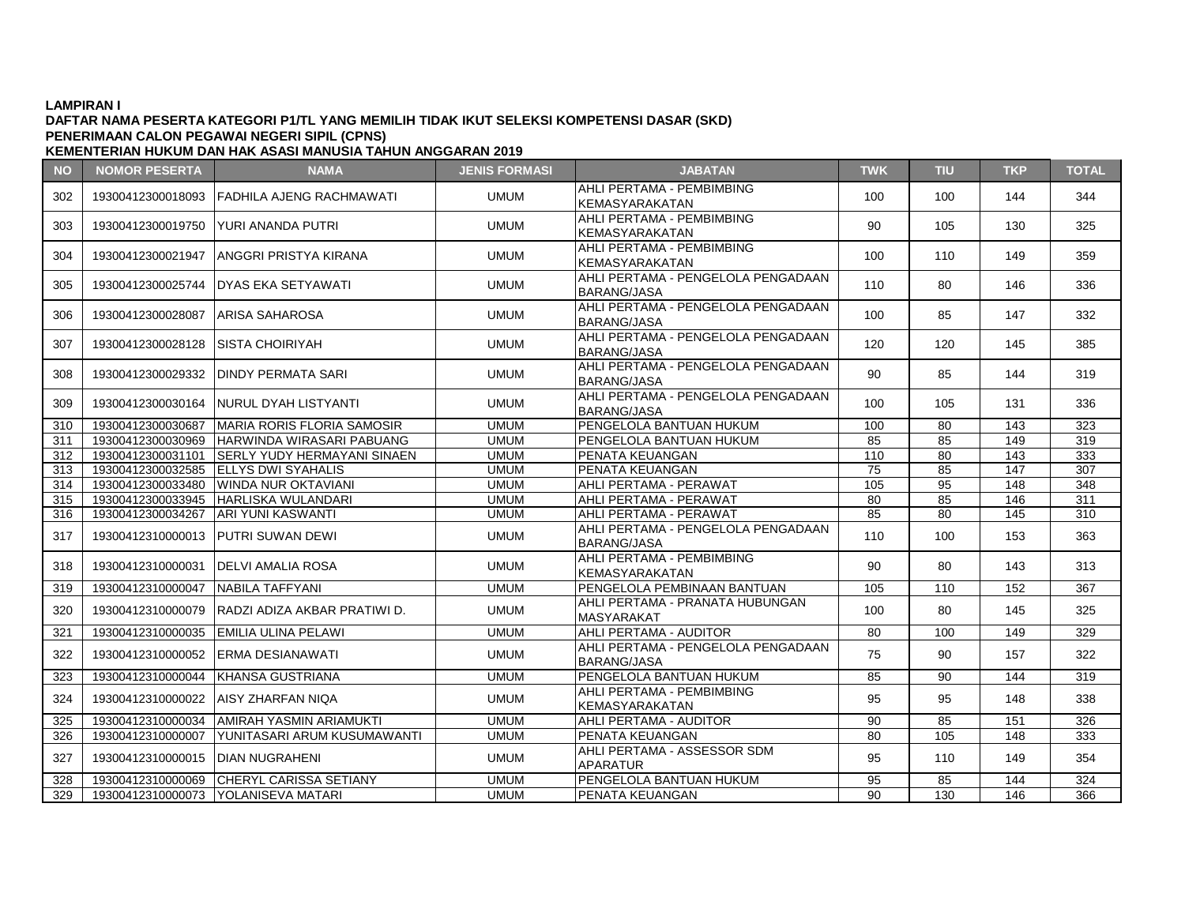## **DAFTAR NAMA PESERTA KATEGORI P1/TL YANG MEMILIH TIDAK IKUT SELEKSI KOMPETENSI DASAR (SKD) PENERIMAAN CALON PEGAWAI NEGERI SIPIL (CPNS)**

| <b>NO</b> | <b>NOMOR PESERTA</b>              | <b>NAMA</b>                                   | <b>JENIS FORMASI</b> | <b>JABATAN</b>                                           | <b>TWK</b> | <b>TIU</b> | <b>TKP</b> | <b>TOTAL</b> |
|-----------|-----------------------------------|-----------------------------------------------|----------------------|----------------------------------------------------------|------------|------------|------------|--------------|
| 302       |                                   | 19300412300018093 FADHILA AJENG RACHMAWATI    | <b>UMUM</b>          | AHLI PERTAMA - PEMBIMBING<br><b>KEMASYARAKATAN</b>       | 100        | 100        | 144        | 344          |
| 303       |                                   | 19300412300019750 YURI ANANDA PUTRI           | <b>UMUM</b>          | AHLI PERTAMA - PEMBIMBING<br>KEMASYARAKATAN              | 90         | 105        | 130        | 325          |
| 304       |                                   | 19300412300021947 LANGGRI PRISTYA KIRANA      | <b>UMUM</b>          | AHLI PERTAMA - PEMBIMBING<br><b>KEMASYARAKATAN</b>       | 100        | 110        | 149        | 359          |
| 305       |                                   | 19300412300025744 IDYAS EKA SETYAWATI         | <b>UMUM</b>          | AHLI PERTAMA - PENGELOLA PENGADAAN<br><b>BARANG/JASA</b> | 110        | 80         | 146        | 336          |
| 306       | 19300412300028087 ARISA SAHAROSA  |                                               | <b>UMUM</b>          | AHLI PERTAMA - PENGELOLA PENGADAAN<br><b>BARANG/JASA</b> | 100        | 85         | 147        | 332          |
| 307       | 19300412300028128                 | ISISTA CHOIRIYAH                              | <b>UMUM</b>          | AHLI PERTAMA - PENGELOLA PENGADAAN<br><b>BARANG/JASA</b> | 120        | 120        | 145        | 385          |
| 308       |                                   | 19300412300029332   DINDY PERMATA SARI        | <b>UMUM</b>          | AHLI PERTAMA - PENGELOLA PENGADAAN<br><b>BARANG/JASA</b> | 90         | 85         | 144        | 319          |
| 309       |                                   | 19300412300030164 INURUL DYAH LISTYANTI       | <b>UMUM</b>          | AHLI PERTAMA - PENGELOLA PENGADAAN<br><b>BARANG/JASA</b> | 100        | 105        | 131        | 336          |
| 310       |                                   | 19300412300030687 MARIA RORIS FLORIA SAMOSIR  | <b>UMUM</b>          | <b>PENGELOLA BANTUAN HUKUM</b>                           | 100        | 80         | 143        | 323          |
| 311       |                                   | 19300412300030969 HARWINDA WIRASARI PABUANG   | <b>UMUM</b>          | IPENGELOLA BANTUAN HUKUM                                 | 85         | 85         | 149        | 319          |
| 312       |                                   | 19300412300031101 SERLY YUDY HERMAYANI SINAEN | <b>UMUM</b>          | PENATA KEUANGAN                                          | 110        | 80         | 143        | 333          |
| 313       |                                   | 19300412300032585 ELLYS DWI SYAHALIS          | <b>UMUM</b>          | <b>PENATA KEUANGAN</b>                                   | 75         | 85         | 147        | 307          |
| 314       |                                   | 19300412300033480 WINDA NUR OKTAVIANI         | <b>UMUM</b>          | AHLI PERTAMA - PERAWAT                                   | 105        | 95         | 148        | 348          |
| 315       |                                   | 19300412300033945   HARLISKA WULANDARI        | <b>UMUM</b>          | AHLI PERTAMA - PERAWAT                                   | 80         | 85         | 146        | 311          |
| 316       | 19300412300034267                 | <b>ARI YUNI KASWANTI</b>                      | <b>UMUM</b>          | AHLI PERTAMA - PERAWAT                                   | 85         | 80         | 145        | 310          |
| 317       |                                   | 19300412310000013 PUTRI SUWAN DEWI            | <b>UMUM</b>          | AHLI PERTAMA - PENGELOLA PENGADAAN<br><b>BARANG/JASA</b> | 110        | 100        | 153        | 363          |
| 318       |                                   | 19300412310000031 IDELVI AMALIA ROSA          | <b>UMUM</b>          | AHLI PERTAMA - PEMBIMBING<br>KEMASYARAKATAN              | 90         | 80         | 143        | 313          |
| 319       | 19300412310000047 NABILA TAFFYANI |                                               | <b>UMUM</b>          | <b>PENGELOLA PEMBINAAN BANTUAN</b>                       | 105        | 110        | 152        | 367          |
| 320       | 19300412310000079                 | IRADZI ADIZA AKBAR PRATIWI D.                 | <b>UMUM</b>          | AHLI PERTAMA - PRANATA HUBUNGAN<br><b>MASYARAKAT</b>     | 100        | 80         | 145        | 325          |
| 321       |                                   | 19300412310000035 EMILIA ULINA PELAWI         | <b>UMUM</b>          | AHLI PERTAMA - AUDITOR                                   | 80         | 100        | 149        | 329          |
| 322       |                                   | 19300412310000052 ERMA DESIANAWATI            | <b>UMUM</b>          | AHLI PERTAMA - PENGELOLA PENGADAAN<br><b>BARANG/JASA</b> | 75         | 90         | 157        | 322          |
| 323       |                                   | 19300412310000044 KHANSA GUSTRIANA            | <b>UMUM</b>          | PENGELOLA BANTUAN HUKUM                                  | 85         | 90         | 144        | 319          |
| 324       |                                   | 19300412310000022 AISY ZHARFAN NIQA           | <b>UMUM</b>          | AHLI PERTAMA - PEMBIMBING<br>KEMASYARAKATAN              | 95         | 95         | 148        | 338          |
| 325       |                                   | 19300412310000034 AMIRAH YASMIN ARIAMUKTI     | <b>UMUM</b>          | AHLI PERTAMA - AUDITOR                                   | 90         | 85         | 151        | 326          |
| 326       | 19300412310000007                 | <b>YUNITASARI ARUM KUSUMAWANTI</b>            | <b>UMUM</b>          | <b>PENATA KEUANGAN</b>                                   | 80         | 105        | 148        | 333          |
| 327       | 19300412310000015                 | IDIAN NUGRAHENI                               | <b>UMUM</b>          | AHLI PERTAMA - ASSESSOR SDM<br><b>APARATUR</b>           | 95         | 110        | 149        | 354          |
| 328       | 19300412310000069                 | <b>CHERYL CARISSA SETIANY</b>                 | <b>UMUM</b>          | PENGELOLA BANTUAN HUKUM                                  | 95         | 85         | 144        | 324          |
| 329       |                                   | 19300412310000073   YOLANISEVA MATARI         | <b>UMUM</b>          | <b>PENATA KEUANGAN</b>                                   | 90         | 130        | 146        | 366          |